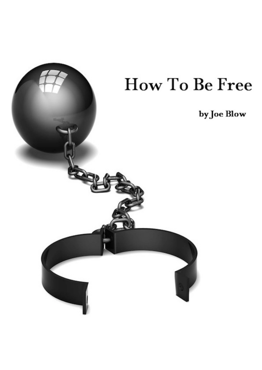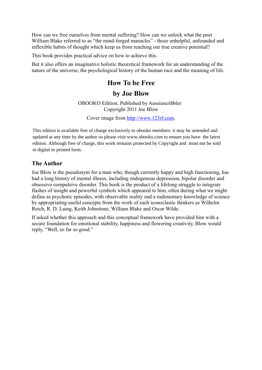How can we free ourselves from mental suffering? How can we unlock what the poet William Blake referred to as "the mind-forged manacles" - those unhelpful, unfounded and inflexible habits of thought which keep us from reaching our true creative potential?

This book provides practical advice on how to achieve this.

But it also offers an imaginative holistic theoretical framework for an understanding of the nature of the universe, the psychological history of the human race and the meaning of life.

# **How To be Free**

# **by Joe Blow**

[OBOOKO Edition.](www.obooko.comwww.obooko.com) Published by Aussiescribbler Copyright 2011 Joe Blow

Cover image from [http://www.123rf.com](http://www.123rf.com/),

This edition is available free of charge exclusively to obooko members: it may be amended and updated at any time by the author so please visit www.obooko.com to ensure you have the latest edition. Although free of charge, this work remains protected by Copyright and must not be sold in digital or printed form.

#### **The Author**

Joe Blow is the pseudonym for a man who, though currently happy and high functioning, has had a long history of mental illness, including endogenous depression, bipolar disorder and obsessive compulsive disorder. This book is the product of a lifelong struggle to integrate flashes of insight and powerful symbols which appeared to him, often during what we might define as psychotic episodes, with observable reality and a rudimentary knowledge of science by appropriating useful concepts from the work of such iconoclastic thinkers as Wilhelm Reich, R. D. Laing, Keith Johnstone, William Blake and Oscar Wilde.

If asked whether this approach and this conceptual framework have provided him with a secure foundation for emotional stability, happiness and flowering creativity, Blow would reply, "Well, so far so good."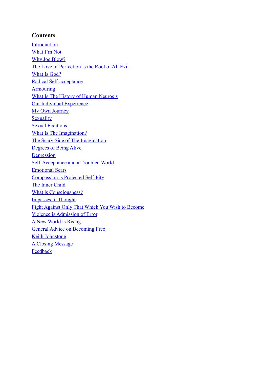# <span id="page-2-0"></span>**Contents**

[Introduction](#page-3-0) [What I'm Not](#page-6-2) [Why Joe Blow?](#page-6-1) [The Love of Perfection is the Root of All Evil](#page-6-0) [What Is God?](#page-7-0) [Radical Self-acceptance](#page-8-0) **[Armouring](#page-9-1)** [What Is The History of Human Neurosis](#page-9-0) [Our Individual Experience](#page-14-0) [My Own Journey](#page-16-0) **[Sexuality](#page-18-0) [Sexual Fixations](#page-21-0)** [What Is The Imagination?](#page-22-1) [The Scary Side of The Imagination](#page-22-0) [Degrees of Being Alive](#page-23-0) **[Depression](#page-24-0)** [Self-Acceptance and a Troubled World](#page-25-0) [Emotional Scars](#page-27-1) [Compassion is Projected Self-Pity](#page-27-0) [The Inner Child](#page-28-0) [What is Consciousness?](#page-29-0) [Impasses to Thought](#page-32-0) [Fight Against Only That Which You Wish to Become](#page-34-0) [Violence is Admission of Error](#page-35-0) [A New World is Rising](#page-36-0) [General Advice on Becoming Free](#page-37-0) [Keith Johnstone](#page-38-2) [A Closing Message](#page-38-1) [Feedback](#page-38-0)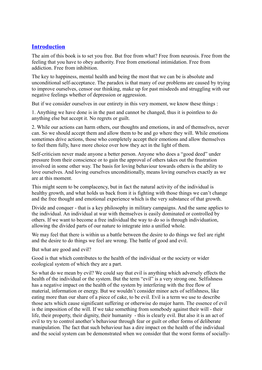# <span id="page-3-0"></span>**[Introduction](#page-2-0)**

The aim of this book is to set you free. But free from what? Free from neurosis. Free from the feeling that you have to obey authority. Free from emotional intimidation. Free from addiction. Free from inhibition.

The key to happiness, mental health and being the most that we can be is absolute and unconditional self-acceptance. The paradox is that many of our problems are caused by trying to improve ourselves, censor our thinking, make up for past misdeeds and struggling with our negative feelings whether of depression or aggression.

But if we consider ourselves in our entirety in this very moment, we know these things :

1. Anything we have done is in the past and cannot be changed, thus it is pointless to do anything else but accept it. No regrets or guilt.

2. While our actions can harm others, our thoughts and emotions, in and of themselves, never can. So we should accept them and allow them to be and go where they will. While emotions sometimes drive actions, those who completely accept their emotions and allow themselves to feel them fully, have more choice over how they act in the light of them.

Self-criticism never made anyone a better person. Anyone who does a "good deed" under pressure from their conscience or to gain the approval of others takes out the frustration involved in some other way. The basis for loving behaviour towards others is the ability to love ourselves. And loving ourselves unconditionally, means loving ourselves exactly as we are at this moment.

This might seem to be complacency, but in fact the natural activity of the individual is healthy growth, and what holds us back from it is fighting with those things we can't change and the free thought and emotional experience which is the very substance of that growth.

Divide and conquer - that is a key philosophy in military campaigns. And the same applies to the individual. An individual at war with themselves is easily dominated or controlled by others. If we want to become a free individual the way to do so is through individuation, allowing the divided parts of our nature to integrate into a unified whole.

We may feel that there is within us a battle between the desire to do things we feel are right and the desire to do things we feel are wrong. The battle of good and evil.

But what are good and evil?

Good is that which contributes to the health of the individual or the society or wider ecological system of which they are a part.

So what do we mean by evil? We could say that evil is anything which adversely effects the health of the individual or the system. But the term "evil" is a very strong one. Selfishness has a negative impact on the health of the system by interfering with the free flow of material, information or energy. But we wouldn't consider minor acts of selfishness, like eating more than our share of a piece of cake, to be evil. Evil is a term we use to describe those acts which cause significant suffering or otherwise do major harm. The essence of evil is the imposition of the will. If we take something from somebody against their will - their life, their property, their dignity, their humanity - this is clearly evil. But also it is an act of evil to try to control another's behaviour through fear or guilt or other forms of deliberate manipulation. The fact that such behaviour has a dire impact on the health of the individual and the social system can be demonstrated when we consider that the worst forms of socially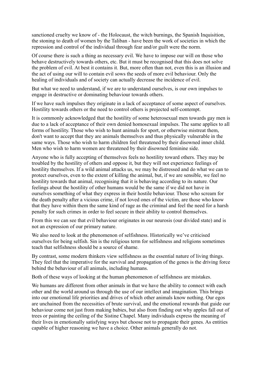sanctioned cruelty we know of - the Holocaust, the witch burnings, the Spanish Inquisition, the stoning to death of women by the Taliban - have been the work of societies in which the repression and control of the individual through fear and/or guilt were the norm.

Of course there is such a thing as necessary evil. We have to impose our will on those who behave destructively towards others, etc. But it must be recognised that this does not solve the problem of evil. At best it contains it. But, more often than not, even this is an illusion and the act of using our will to contain evil sows the seeds of more evil behaviour. Only the healing of individuals and of society can actually decrease the incidence of evil.

But what we need to understand, if we are to understand ourselves, is our own impulses to engage in destructive or dominating behaviour towards others.

If we have such impulses they originate in a lack of acceptance of some aspect of ourselves. Hostility towards others or the need to control others is projected self-contempt.

It is commonly acknowledged that the hostility of some heterosexual men towards gay men is due to a lack of acceptance of their own denied homosexual impulses. The same applies to all forms of hostility. Those who wish to hunt animals for sport, or otherwise mistreat them, don't want to accept that they are animals themselves and thus physically vulnerable in the same ways. Those who wish to harm children feel threatened by their disowned inner child. Men who wish to harm women are threatened by their disowned feminine side.

Anyone who is fully accepting of themselves feels no hostility toward others. They may be troubled by the hostility of others and oppose it, but they will not experience feelings of hostility themselves. If a wild animal attacks us, we may be distressed and do what we can to protect ourselves, even to the extent of killing the animal, but, if we are sensible, we feel no hostility towards that animal, recognising that it is behaving according to its nature. Our feelings about the hostility of other humans would be the same if we did not have in ourselves something of what they express in their hostile behaviour. Those who scream for the death penalty after a vicious crime, if not loved ones of the victim, are those who know that they have within them the same kind of rage as the criminal and feel the need for a harsh penalty for such crimes in order to feel secure in their ability to control themselves.

From this we can see that evil behaviour originates in our neurosis (our divided state) and is not an expression of our primary nature.

We also need to look at the phenomenon of selfishness. Historically we've criticised ourselves for being selfish. Sin is the religious term for selfishness and religions sometimes teach that selfishness should be a source of shame.

By contrast, some modern thinkers view selfishness as the essential nature of living things. They feel that the imperative for the survival and propagation of the genes is the driving force behind the behaviour of all animals, including humans.

Both of these ways of looking at the human phenomenon of selfishness are mistakes.

We humans are different from other animals in that we have the ability to connect with each other and the world around us through the use of our intellect and imagination. This brings into our emotional life priorities and drives of which other animals know nothing. Our egos are unchained from the necessities of brute survival, and the emotional rewards that guide our behaviour come not just from making babies, but also from finding out why apples fall out of trees or painting the ceiling of the Sistine Chapel. Many individuals express the meaning of their lives in emotionally satisfying ways but choose not to propagate their genes. As entities capable of higher reasoning we have a choice. Other animals generally do not.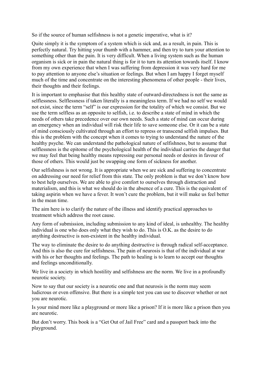So if the source of human selfishness is not a genetic imperative, what is it?

Quite simply it is the symptom of a system which is sick and, as a result, in pain. This is perfectly natural. Try hitting your thumb with a hammer, and then try to turn your attention to something other than the pain. It is very difficult. When a living system such as the human organism is sick or in pain the natural thing is for it to turn its attention towards itself. I know from my own experience that when I was suffering from depression it was very hard for me to pay attention to anyone else's situation or feelings. But when I am happy I forget myself much of the time and concentrate on the interesting phenomena of other people - their lives, their thoughts and their feelings.

It is important to emphasise that this healthy state of outward-directedness is not the same as selflessness. Selflessness if taken literally is a meaningless term. If we had no self we would not exist, since the term "self" is our expression for the totality of which we consist. But we use the term selfless as an opposite to selfish, i.e. to describe a state of mind in which the needs of others take precedence over our own needs. Such a state of mind can occur during an emergency when an individual will risk their life to save someone else. Or it can be a state of mind consciously cultivated through an effort to repress or transcend selfish impulses. But this is the problem with the concept when it comes to trying to understand the nature of the healthy psyche. We can understand the pathological nature of selfishness, but to assume that selflessness is the epitome of the psychological health of the individual carries the danger that we may feel that being healthy means repressing our personal needs or desires in favour of those of others. This would just be swapping one form of sickness for another.

Our selfishness is not wrong. It is appropriate when we are sick and suffering to concentrate on addressing our need for relief from this state. The only problem is that we don't know how to best help ourselves. We are able to give comfort to ourselves through distraction and materialism, and this is what we should do in the absence of a cure. This is the equivalent of taking aspirin when we have a fever. It won't cure the problem, but it will make us feel better in the mean time.

The aim here is to clarify the nature of the illness and identify practical approaches to treatment which address the root cause.

Any form of submission, including submission to any kind of ideal, is unhealthy. The healthy individual is one who does only what they wish to do. This is O.K. as the desire to do anything destructive is non-existent in the healthy individual.

The way to eliminate the desire to do anything destructive is through radical self-acceptance. And this is also the cure for selfishness. The pain of neurosis is that of the individual at war with his or her thoughts and feelings. The path to healing is to learn to accept our thoughts and feelings unconditionally.

We live in a society in which hostility and selfishness are the norm. We live in a profoundly neurotic society.

Now to say that our society is a neurotic one and that neurosis is the norm may seem ludicrous or even offensive. But there is a simple test you can use to discover whether or not you are neurotic.

Is your mind more like a playground or more like a prison? If it is more like a prison then you are neurotic.

But don't worry. This book is a "Get Out of Jail Free" card and a passport back into the playground.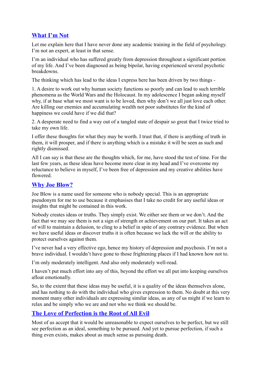# <span id="page-6-2"></span>**[What I'm Not](#page-2-0)**

Let me explain here that I have never done any academic training in the field of psychology. I'm not an expert, at least in that sense.

I'm an individual who has suffered greatly from depression throughout a significant portion of my life. And I've been diagnosed as being bipolar, having experienced several psychotic breakdowns.

The thinking which has lead to the ideas I express here has been driven by two things -

1. A desire to work out why human society functions so poorly and can lead to such terrible phenomena as the World Wars and the Holocaust. In my adolescence I began asking myself why, if at base what we most want is to be loved, then why don't we all just love each other. Are killing our enemies and accumulating wealth not poor substitutes for the kind of happiness we could have if we did that?

2. A desperate need to find a way out of a tangled state of despair so great that I twice tried to take my own life.

I offer these thoughts for what they may be worth. I trust that, if there is anything of truth in them, it will prosper, and if there is anything which is a mistake it will be seen as such and rightly dismissed.

All I can say is that these are the thoughts which, for me, have stood the test of time. For the last few years, as these ideas have become more clear in my head and I've overcome my reluctance to believe in myself, I've been free of depression and my creative abilities have flowered.

## <span id="page-6-1"></span>**[Why Joe Blow?](#page-2-0)**

Joe Blow is a name used for someone who is nobody special. This is an appropriate pseudonym for me to use because it emphasises that I take no credit for any useful ideas or insights that might be contained in this work.

Nobody creates ideas or truths. They simply exist. We either see them or we don't. And the fact that we may see them is not a sign of strength or achievement on our part. It takes an act of will to maintain a delusion, to cling to a belief in spite of any contrary evidence. But when we have useful ideas or discover truths it is often because we lack the will or the ability to protect ourselves against them.

I've never had a very effective ego, hence my history of depression and psychosis. I'm not a brave individual. I wouldn't have gone to those frightening places if I had known how not to.

I'm only moderately intelligent. And also only moderately well-read.

I haven't put much effort into any of this, beyond the effort we all put into keeping ourselves afloat emotionally.

So, to the extent that these ideas may be useful, it is a quality of the ideas themselves alone, and has nothing to do with the individual who gives expression to them. No doubt at this very moment many other individuals are expressing similar ideas, as any of us might if we learn to relax and be simply who we are and not who we think we should be.

# <span id="page-6-0"></span>**[The Love of Perfection is the Root of All Evil](#page-2-0)**

Most of us accept that it would be unreasonable to expect ourselves to be perfect, but we still see perfection as an ideal, something to be pursued. And yet to pursue perfection, if such a thing even exists, makes about as much sense as pursuing death.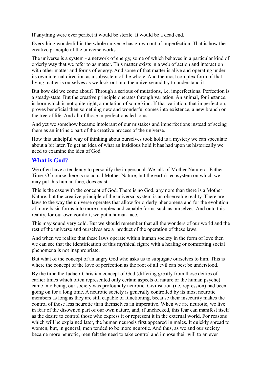If anything were ever perfect it would be sterile. It would be a dead end.

Everything wonderful in the whole universe has grown out of imperfection. That is how the creative principle of the universe works.

The universe is a system - a network of energy, some of which behaves in a particular kind of orderly way that we refer to as matter. This matter exists in a web of action and interaction with other matter and forms of energy. And some of that matter is alive and operating under its own internal direction as a subsystem of the whole. And the most complex form of that living matter is ourselves as we look out into the universe and try to understand it.

But how did we come about? Through a serious of mutations, i.e. imperfections. Perfection is a steady-state. But the creative principle operates through variation. An animal, for instance, is born which is not quite right, a mutation of some kind. If that variation, that imperfection, proves beneficial then something new and wonderful comes into existence, a new branch on the tree of life. And all of those imperfections led to us.

And yet we somehow became intolerant of our mistakes and imperfections instead of seeing them as an intrinsic part of the creative process of the universe.

How this unhelpful way of thinking about ourselves took hold is a mystery we can speculate about a bit later. To get an idea of what an insidious hold it has had upon us historically we need to examine the idea of God.

#### <span id="page-7-0"></span>**[What is God?](#page-2-0)**

We often have a tendency to personify the impersonal. We talk of Mother Nature or Father Time. Of course there is no actual Mother Nature, but the earth's ecosystem on which we may put this human face, does exist.

This is the case with the concept of God. There is no God, anymore than there is a Mother Nature, but the creative principle of the universal system is an observable reality. There are laws to the way the universe operates that allow for orderly phenomena and for the evolution of more basic forms into more complex and capable forms such as ourselves. And onto this reality, for our own comfort, we put a human face.

This may sound very cold. But we should remember that all the wonders of our world and the rest of the universe and ourselves are a product of the operation of these laws.

And when we realise that these laws operate within human society in the form of love then we can see that the identification of this mythical figure with a healing or comforting social phenomena is not inappropriate.

But what of the concept of an angry God who asks us to subjugate ourselves to him. This is where the concept of the love of perfection as the root of all evil can best be understood.

By the time the Judaeo-Christian concept of God (differing greatly from those deities of earlier times which often represented only certain aspects of nature or the human psyche) came into being, our society was profoundly neurotic. Civilisation (i.e. repression) had been going on for a long time. A neurotic society is generally controlled by its most neurotic members as long as they are still capable of functioning, because their insecurity makes the control of those less neurotic than themselves an imperative. When we are neurotic, we live in fear of the disowned part of our own nature, and, if unchecked, this fear can manifest itself as the desire to control those who express it or represent it in the external world. For reasons which will be explained later, the human neurosis first appeared in males. It quickly spread to women, but, in general, men tended to be more neurotic. And thus, as we and our society became more neurotic, men felt the need to take control and impose their will to an ever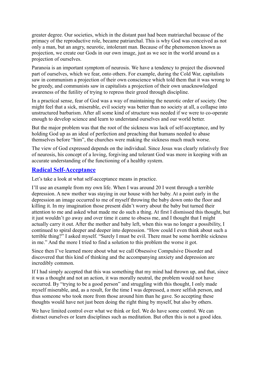greater degree. Our societies, which in the distant past had been matriarchal because of the primacy of the reproductive role, became patriarchal. This is why God was conceived as not only a man, but an angry, neurotic, intolerant man. Because of the phenomenon known as projection, we create our Gods in our own image, just as we see in the world around us a projection of ourselves.

Paranoia is an important symptom of neurosis. We have a tendency to project the disowned part of ourselves, which we fear, onto others. For example, during the Cold War, capitalists saw in communism a projection of their own conscience which told them that it was wrong to be greedy, and communists saw in capitalists a projection of their own unacknowledged awareness of the futility of trying to repress their greed through discipline.

In a practical sense, fear of God was a way of maintaining the neurotic order of society. One might feel that a sick, miserable, evil society was better than no society at all, a collapse into unstructured barbarism. After all some kind of structure was needed if we were to co-operate enough to develop science and learn to understand ourselves and our world better.

But the major problem was that the root of the sickness was lack of self-acceptance, and by holding God up as an ideal of perfection and preaching that humans needed to abase themselves before "him", the churches were making the sickness much much worse.

The view of God expressed depends on the individual. Since Jesus was clearly relatively free of neurosis, his concept of a loving, forgiving and tolerant God was more in keeping with an accurate understanding of the functioning of a healthy system.

## <span id="page-8-0"></span>**[Radical Self-Acceptance](#page-2-0)**

Let's take a look at what self-acceptance means in practice.

I'll use an example from my own life. When I was around 20 I went through a terrible depression. A new mother was staying in our house with her baby. At a point early in the depression an image occurred to me of myself throwing the baby down onto the floor and killing it. In my imagination those present didn't worry about the baby but turned their attention to me and asked what made me do such a thing. At first I dismissed this thought, but it just wouldn't go away and over time it came to obsess me, and I thought that I might actually carry it out. After the mother and baby left, when this was no longer a possibility, I continued to spiral deeper and deeper into depression. "How could I even think about such a terrible thing?" I asked myself. "Surely I must be evil. There must be some horrible sickness in me." And the more I tried to find a solution to this problem the worse it got.

Since then I've learned more about what we call Obsessive Compulsive Disorder and discovered that this kind of thinking and the accompanying anxiety and depression are incredibly common.

If I had simply accepted that this was something that my mind had thrown up, and that, since it was a thought and not an action, it was morally neutral, the problem would not have occurred. By "trying to be a good person" and struggling with this thought, I only made myself miserable, and, as a result, for the time I was depressed, a more selfish person, and thus someone who took more from those around him than he gave. So accepting these thoughts would have not just been doing the right thing by myself, but also by others.

We have limited control over what we think or feel. We do have some control. We can distract ourselves or learn disciplines such as meditation. But often this is not a good idea.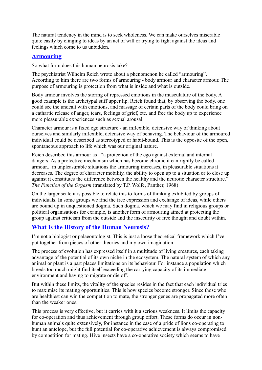The natural tendency in the mind is to seek wholeness. We can make ourselves miserable quite easily by clinging to ideas by an act of will or trying to fight against the ideas and feelings which come to us unbidden.

## <span id="page-9-1"></span>**[Armouring](#page-2-0)**

So what form does this human neurosis take?

The psychiatrist Wilhelm Reich wrote about a phenomenon he called "armouring". According to him there are two forms of armouring - body armour and character armour. The purpose of armouring is protection from what is inside and what is outside.

Body armour involves the storing of repressed emotions in the musculature of the body. A good example is the archetypal stiff upper lip. Reich found that, by observing the body, one could see the undealt with emotions, and massage of certain parts of the body could bring on a cathartic release of anger, tears, feelings of grief, etc. and free the body up to experience more pleasurable experiences such as sexual arousal.

Character armour is a fixed ego structure - an inflexible, defensive way of thinking about ourselves and similarly inflexible, defensive way of behaving. The behaviour of the armoured individual could be described as stereotyped or habit-bound. This is the opposite of the open, spontaneous approach to life which was our original nature.

Reich described this armour as : "a protection of the ego against external and internal dangers. As a protective mechanism which has become chronic it can rightly be called armour... in unpleasurable situations the armouring increases, in pleasurable situations it decreases. The degree of character mobility, the ability to open up to a situation or to close up against it constitutes the difference between the healthy and the neurotic character structure." *The Function of the Orgasm* (translated by T.P. Wolfe, Panther, 1968)

On the larger scale it is possible to relate this to forms of thinking exhibited by groups of individuals. In some groups we find the free expression and exchange of ideas, while others are bound up in unquestioned dogma. Such dogma, which we may find in religious groups or political organisations for example, is another form of armouring aimed at protecting the group against criticism from the outside and the insecurity of free thought and doubt within.

# <span id="page-9-0"></span>**[What Is the History of the Human Neurosis?](#page-2-0)**

I'm not a biologist or palaeontologist. This is just a loose theoretical framework which I've put together from pieces of other theories and my own imagination.

The process of evolution has expressed itself in a multitude of living creatures, each taking advantage of the potential of its own niche in the ecosystem. The natural system of which any animal or plant is a part places limitations on its behaviour. For instance a population which breeds too much might find itself exceeding the carrying capacity of its immediate environment and having to migrate or die off.

But within these limits, the vitality of the species resides in the fact that each individual tries to maximise its mating opportunities. This is how species become stronger. Since those who are healthiest can win the competition to mate, the stronger genes are propagated more often than the weaker ones.

This process is very effective, but it carries with it a serious weakness. It limits the capacity for co-operation and thus achievement through group effort. These forms do occur in nonhuman animals quite extensively, for instance in the case of a pride of lions co-operating to hunt an antelope, but the full potential for co-operative achievement is always compromised by competition for mating. Hive insects have a co-operative society which seems to have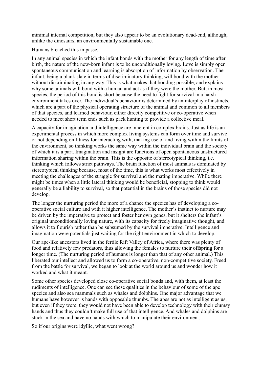minimal internal competition, but they also appear to be an evolutionary dead-end, although, unlike the dinosaurs, an environmentally sustainable one.

Humans breached this impasse.

In any animal species in which the infant bonds with the mother for any length of time after birth, the nature of the new-born infant is to be unconditionally loving. Love is simply open spontaneous communication and learning is absorption of information by observation. The infant, being a blank slate in terms of discriminatory thinking, will bond with the mother without discriminating in any way. This is what makes that bonding possible, and explains why some animals will bond with a human and act as if they were the mother. But, in most species, the period of this bond is short because the need to fight for survival in a harsh environment takes over. The individual's behaviour is determined by an interplay of instincts, which are a part of the physical operating structure of the animal and common to all members of that species, and learned behaviour, either directly competitive or co-operative when needed to meet short term ends such as pack hunting to provide a collective meal.

A capacity for imagination and intelligence are inherent in complex brains. Just as life is an experimental process in which more complex living systems can form over time and survive or not depending on fitness for interacting with, making use of and living within the limits of the environment, so thinking works the same way within the individual brain and the society of which it is a part. Imagination and insight are functions of open spontaneous unstructured information sharing within the brain. This is the opposite of stereotypical thinking, i.e. thinking which follows strict pathways. The brain function of most animals is dominated by stereotypical thinking because, most of the time, this is what works most effectively in meeting the challenges of the struggle for survival and the mating imperative. While there might be times when a little lateral thinking would be beneficial, stopping to think would generally be a liability to survival, so that potential in the brains of those species did not develop.

The longer the nurturing period the more of a chance the species has of developing a cooperative social culture and with it higher intelligence. The mother's instinct to nurture may be driven by the imperative to protect and foster her own genes, but it shelters the infant's original unconditionally loving nature, with its capacity for freely imaginative thought, and allows it to flourish rather than be subsumed by the survival imperative. Intelligence and imagination were potentials just waiting for the right environment in which to develop.

Our ape-like ancestors lived in the fertile Rift Valley of Africa, where there was plenty of food and relatively few predators, thus allowing the females to nurture their offspring for a longer time. (The nurturing period of humans is longer than that of any other animal.) This liberated our intellect and allowed us to form a co-operative, non-competitive society. Freed from the battle for survival, we began to look at the world around us and wonder how it worked and what it meant.

Some other species developed close co-operative social bonds and, with them, at least the rudiments of intelligence. One can see these qualities in the behaviour of some of the ape species and also sea mammals such as whales and dolphins. One major advantage that we humans have however is hands with opposable thumbs. The apes are not as intelligent as us, but even if they were, they would not have been able to develop technology with their clumsy hands and thus they couldn't make full use of that intelligence. And whales and dolphins are stuck in the sea and have no hands with which to manipulate their environment.

So if our origins were idyllic, what went wrong?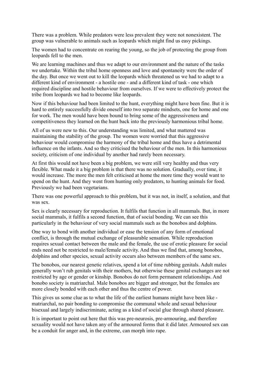There was a problem. While predators were less prevalent they were not nonexistent. The group was vulnerable to animals such as leopards which might find us easy pickings.

The women had to concentrate on rearing the young, so the job of protecting the group from leopards fell to the men.

We are learning machines and thus we adapt to our environment and the nature of the tasks we undertake. Within the tribal home openness and love and spontaneity were the order of the day. But once we went out to kill the leopards which threatened us we had to adapt to a different kind of environment - a hostile one - and a different kind of task - one which required discipline and hostile behaviour from ourselves. If we were to effectively protect the tribe from leopards we had to become like leopards.

Now if this behaviour had been limited to the hunt, everything might have been fine. But it is hard to entirely successfully divide oneself into two separate mindsets, one for home and one for work. The men would have been bound to bring some of the aggressiveness and competitiveness they learned on the hunt back into the previously harmonious tribal home.

All of us were new to this. Our understanding was limited, and what mattered was maintaining the stability of the group. The women were worried that this aggressive behaviour would compromise the harmony of the tribal home and thus have a detrimental influence on the infants. And so they criticised the behaviour of the men. In this harmonious society, criticism of one individual by another had rarely been necessary.

At first this would not have been a big problem, we were still very healthy and thus very flexible. What made it a big problem is that there was no solution. Gradually, over time, it would increase. The more the men felt criticised at home the more time they would want to spend on the hunt. And they went from hunting only predators, to hunting animals for food. Previously we had been vegetarians.

There was one powerful approach to this problem, but it was not, in itself, a solution, and that was sex.

Sex is clearly necessary for reproduction. It fulfils that function in all mammals. But, in more social mammals, it fulfils a second function, that of social bonding. We can see this particularly in the behaviour of very social mammals such as the bonobos and dolphins.

One way to bond with another individual or ease the tension of any form of emotional conflict, is through the mutual exchange of pleasurable sensation. While reproduction requires sexual contact between the male and the female, the use of erotic pleasure for social ends need not be restricted to male/female activity. And thus we find that, among bonobos, dolphins and other species, sexual activity occurs also between members of the same sex.

The bonobos, our nearest genetic relatives, spend a lot of time rubbing genitals. Adult males generally won't rub genitals with their mothers, but otherwise these genital exchanges are not restricted by age or gender or kinship. Bonobos do not form permanent relationships. And bonobo society is matriarchal. Male bonobos are bigger and stronger, but the females are more closely bonded with each other and thus the centre of power.

This gives us some clue as to what the life of the earliest humans might have been like matriarchal, no pair bonding to compromise the communal whole and sexual behaviour bisexual and largely indiscriminate, acting as a kind of social glue through shared pleasure.

It is important to point out here that this was pre-neurosis, pre-armouring, and therefore sexuality would not have taken any of the armoured forms that it did later. Armoured sex can be a conduit for anger and, in the extreme, can morph into rape.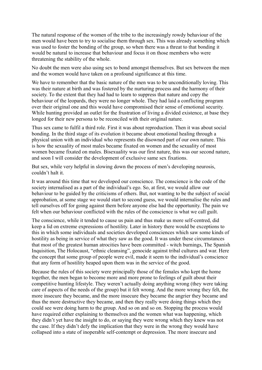The natural response of the women of the tribe to the increasingly rowdy behaviour of the men would have been to try to socialise them through sex. This was already something which was used to foster the bonding of the group, so when there was a threat to that bonding it would be natural to increase that behaviour and focus it on those members who were threatening the stability of the whole.

No doubt the men were also using sex to bond amongst themselves. But sex between the men and the women would have taken on a profound significance at this time.

We have to remember that the basic nature of the men was to be unconditionally loving. This was their nature at birth and was fostered by the nurturing process and the harmony of their society. To the extent that they had had to learn to suppress that nature and copy the behaviour of the leopards, they were no longer whole. They had laid a conflicting program over their original one and this would have compromised their sense of emotional security. While hunting provided an outlet for the frustration of living a divided existence, at base they longed for their new persona to be reconciled with their original nature.

Thus sex came to fulfil a third role. First it was about reproduction. Then it was about social bonding. In the third stage of its evolution it became about emotional healing through a physical union with an individual who represents the disowned part of our own nature. This is how the sexuality of most males became fixated on women and the sexuality of most women became fixated on males. Bisexuality was our first nature, this was our second nature, and soon I will consider the development of exclusive same sex fixations.

But sex, while very helpful in slowing down the process of men's developing neurosis, couldn't halt it.

It was around this time that we developed our conscience. The conscience is the code of the society internalised as a part of the individual's ego. So, at first, we would allow our behaviour to be guided by the criticisms of others. But, not wanting to be the subject of social approbation, at some stage we would start to second guess, we would internalise the rules and tell ourselves off for going against them before anyone else had the opportunity. The pain we felt when our behaviour conflicted with the rules of the conscience is what we call guilt.

The conscience, while it tended to cause us pain and thus make us more self-centred, did keep a lid on extreme expressions of hostility. Later in history there would be exceptions to this in which some individuals and societies developed consciences which saw some kinds of hostility as being in service of what they saw as the good. It was under these circumstances that most of the greatest human atrocities have been committed - witch burnings, The Spanish Inquisition, The Holocaust, "ethnic cleansing", genocide against tribal cultures and war. Here the concept that some group of people were evil, made it seem to the individual's conscience that any form of hostility heaped upon them was in the service of the good.

Because the rules of this society were principally those of the females who kept the home together, the men began to become more and more prone to feelings of guilt about their competitive hunting lifestyle. They weren't actually doing anything wrong (they were taking care of aspects of the needs of the group) but it felt wrong. And the more wrong they felt, the more insecure they became, and the more insecure they became the angrier they became and thus the more destructive they became, and then they really were doing things which they could see were doing harm to the group. And so on and so on. Stopping the process would have required either explaining to themselves and the women what was happening, which they didn't yet have the insight to do, or saying they were wrong which they knew was not the case. If they didn't defy the implication that they were in the wrong they would have collapsed into a state of inoperable self-contempt or depression. The more insecure and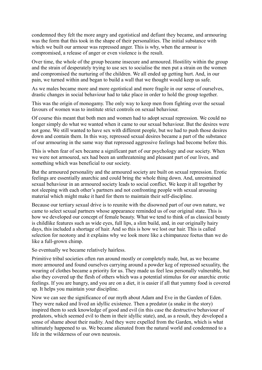condemned they felt the more angry and egotistical and defiant they became, and armouring was the form that this took in the shape of their personalities. The initial substance with which we built our armour was repressed anger. This is why, when the armour is compromised, a release of anger or even violence is the result.

Over time, the whole of the group became insecure and armoured. Hostility within the group and the strain of desperately trying to use sex to socialise the men put a strain on the women and compromised the nurturing of the children. We all ended up getting hurt. And, in our pain, we turned within and began to build a wall that we thought would keep us safe.

As we males became more and more egotistical and more fragile in our sense of ourselves, drastic changes in social behaviour had to take place in order to hold the group together.

This was the origin of monogamy. The only way to keep men from fighting over the sexual favours of women was to institute strict controls on sexual behaviour.

Of course this meant that both men and women had to adopt sexual repression. We could no longer simply do what we wanted when it came to our sexual behaviour. But the desires were not gone. We still wanted to have sex with different people, but we had to push those desires down and contain them. In this way, repressed sexual desires became a part of the substance of our armouring in the same way that repressed aggressive feelings had become before this.

This is when fear of sex became a significant part of our psychology and our society. When we were not armoured, sex had been an unthreatening and pleasant part of our lives, and something which was beneficial to our society.

But the armoured personality and the armoured society are built on sexual repression. Erotic feelings are essentially anarchic and could bring the whole thing down. And, unrestrained sexual behaviour in an armoured society leads to social conflict. We keep it all together by not sleeping with each other's partners and not confronting people with sexual arousing material which might make it hard for them to maintain their self-discipline.

Because our tertiary sexual drive is to reunite with the disowned part of our own nature, we came to select sexual partners whose appearance reminded us of our original state. This is how we developed our concept of female beauty. What we tend to think of as classical beauty is childlike features such as wide eyes, full lips, a slim build, and, in our originally hairy days, this included a shortage of hair. And so this is how we lost our hair. This is called selection for neotony and it explains why we look more like a chimpanzee foetus than we do like a full-grown chimp.

So eventually we became relatively hairless.

Primitive tribal societies often run around mostly or completely nude, but, as we became more armoured and found ourselves carrying around a powder keg of repressed sexuality, the wearing of clothes became a priority for us. They made us feel less personally vulnerable, but also they covered up the flesh of others which was a potential stimulus for our anarchic erotic feelings. If you are hungry, and you are on a diet, it is easier if all that yummy food is covered up. It helps you maintain your discipline.

Now we can see the significance of our myth about Adam and Eve in the Garden of Eden. They were naked and lived an idyllic existence. Then a predator (a snake in the story) inspired them to seek knowledge of good and evil (in this case the destructive behaviour of predators, which seemed evil to them in their idyllic state), and, as a result, they developed a sense of shame about their nudity. And they were expelled from the Garden, which is what ultimately happened to us. We became alienated from the natural world and condemned to a life in the wilderness of our own neurosis.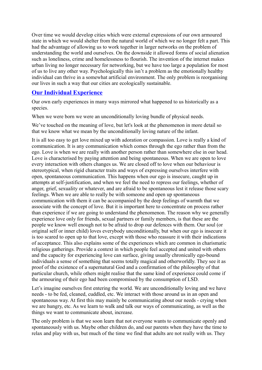Over time we would develop cities which were external expressions of our own armoured state in which we would shelter from the natural world of which we no longer felt a part. This had the advantage of allowing us to work together in larger networks on the problem of understanding the world and ourselves. On the downside it allowed forms of social alienation such as loneliness, crime and homelessness to flourish. The invention of the internet makes urban living no longer necessary for networking, but we have too large a population for most of us to live any other way. Psychologically this isn't a problem as the emotionally healthy individual can thrive in a somewhat artificial environment. The only problem is reorganising our lives in such a way that our cities are ecologically sustainable.

## <span id="page-14-0"></span>**[Our Individual Experience](#page-2-0)**

Our own early experiences in many ways mirrored what happened to us historically as a species.

When we were born we were an unconditionally loving bundle of physical needs.

We've touched on the meaning of love, but let's look at the phenomenon in more detail so that we know what we mean by the unconditionally loving nature of the infant.

It is all too easy to get love mixed up with adoration or compassion. Love is really a kind of communication. It is any communication which comes through the ego rather than from the ego. Love is when we are really with another person rather than somewhere else in our head. Love is characterised by paying attention and being spontaneous. When we are open to love every interaction with others changes us. We are closed off to love when our behaviour is stereotypical, when rigid character traits and ways of expressing ourselves interfere with open, spontaneous communication. This happens when our ego is insecure, caught up in attempts at self-justification, and when we feel the need to repress our feelings, whether of anger, grief, sexuality or whatever, and are afraid to be spontaneous lest it release those scary feelings. When we are able to really be with someone and open up spontaneous communication with them it can be accompanied by the deep feelings of warmth that we associate with the concept of love. But it is important here to concentrate on process rather than experience if we are going to understand the phenomenon. The reason why we generally experience love only for friends, sexual partners or family members, is that these are the people we know well enough not to be afraid to drop our defences with them. Our soul (or original self or inner child) loves everybody unconditionally, but when our ego is insecure it is too scared to open up to that love, except with those who reassure it with their indications of acceptance. This also explains some of the experiences which are common in charismatic religious gatherings. Provide a context in which people feel accepted and united with others and the capacity for experiencing love can surface, giving usually chronically ego-bound individuals a sense of something that seems totally magical and otherworldly. They see it as proof of the existence of a supernatural God and a confirmation of the philosophy of that particular church, while others might realise that the same kind of experience could come if the armouring of their ego had been compromised by the consumption of LSD.

Let's imagine ourselves first entering the world. We are unconditionally loving and we have needs - to be fed, cleaned, cuddled, etc. We interact with those around us in an open and spontaneous way. At first this may mainly be communicating about our needs - crying when we are hungry, etc. As we learn to walk and talk our ways of communicating, as well as the things we want to communicate about, increase.

The only problem is that we soon learn that not everyone wants to communicate openly and spontaneously with us. Maybe other children do, and our parents when they have the time to relax and play with us, but much of the time we find that adults are not really with us. They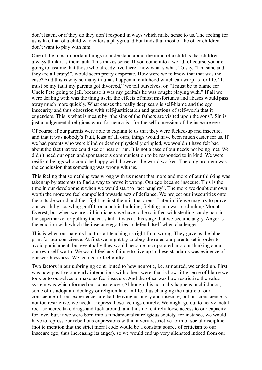don't listen, or if they do they don't respond in ways which make sense to us. The feeling for us is like that of a child who enters a playground but finds that most of the other children don't want to play with him.

One of the most important things to understand about the mind of a child is that children always think it is their fault. This makes sense. If you come into a world, of course you are going to assume that those who already live there know what's what. To say, "I'm sane and they are all crazy!", would seem pretty desperate. How were we to know that that was the case? And this is why so many traumas happen in childhood which can warp us for life. "It must be my fault my parents got divorced," we tell ourselves, or, "I must be to blame for Uncle Pete going to jail, because it was my genitals he was caught playing with." If all we were dealing with was the thing itself, the effects of most misfortunes and abuses would pass away much more quickly. What causes the really deep scars is self-blame and the ego insecurity and thus obsession with self-justification and questions of self-worth that it engenders. This is what is meant by "the sins of the fathers are visited upon the sons". Sin is just a judgemental religious word for neurosis - for the self-obsession of the insecure ego.

Of course, if our parents were able to explain to us that they were fucked-up and insecure, and that it was nobody's fault, least of all ours, things would have been much easier for us. If we had parents who were blind or deaf or physically crippled, we wouldn't have felt bad about the fact that we could see or hear or run. It is not a case of our needs not being met. We didn't need our open and spontaneous communication to be responded to in kind. We were resilient beings who could be happy with however the world worked. The only problem was the conclusion that something was wrong with us.

This feeling that something was wrong with us meant that more and more of our thinking was taken up by attempts to find a way to prove it wrong. Our ego became insecure. This is the time in our development when we would start to "act naughty". The more we doubt our own worth the more we feel compelled towards acts of defiance. We project our insecurities onto the outside world and then fight against them in that arena. Later in life we may try to prove our worth by scrawling graffiti on a public building, fighting in a war or climbing Mount Everest, but when we are still in diapers we have to be satisfied with stealing candy bars in the supermarket or pulling the cat's tail. It was at this stage that we became angry. Anger is the emotion with which the insecure ego tries to defend itself when challenged.

This is when our parents had to start teaching us right from wrong. They gave us the blue print for our conscience. At first we might try to obey the rules our parents set in order to avoid punishment, but eventually they would become incorporated into our thinking about our own self-worth. We would feel any failure to live up to these standards was evidence of our worthlessness. We learned to feel guilty.

Two factors in our upbringing contributed to how neurotic, i.e. armoured, we ended up. First was how positive our early interactions with others were, that is how little sense of blame we took onto ourselves to make us feel insecure. And the other was how restrictive the value system was which formed our conscience. (Although this normally happens in childhood, some of us adopt an ideology or religion later in life, thus changing the nature of our conscience.) If our experiences are bad, leaving us angry and insecure, but our conscience is not too restrictive, we needn't repress those feelings entirely. We might go out to heavy metal rock concerts, take drugs and fuck around, and thus not entirely loose access to our capacity for love, but, if we were born into a fundamentalist religious society, for instance, we would have to repress our rebellious expressions within a very restrictive form of social discipline (not to mention that the strict moral code would be a constant source of criticism to our insecure ego, thus increasing its anger), so we would end up very alienated indeed from our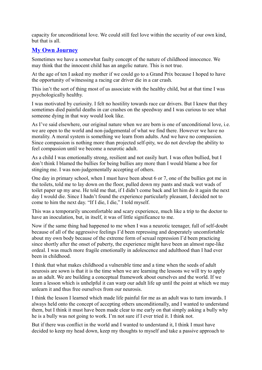capacity for unconditional love. We could still feel love within the security of our own kind, but that is all.

# <span id="page-16-0"></span>**[My Own Journey](#page-2-0)**

Sometimes we have a somewhat faulty concept of the nature of childhood innocence. We may think that the innocent child has an angelic nature. This is not true.

At the age of ten I asked my mother if we could go to a Grand Prix because I hoped to have the opportunity of witnessing a racing car driver die in a car crash.

This isn't the sort of thing most of us associate with the healthy child, but at that time I was psychologically healthy.

I was motivated by curiosity. I felt no hostility towards race car drivers. But I knew that they sometimes died painful deaths in car crashes on the speedway and I was curious to see what someone dying in that way would look like.

As I've said elsewhere, our original nature when we are born is one of unconditional love, i.e. we are open to the world and non-judgemental of what we find there. However we have no morality. A moral system is something we learn from adults. And we have no compassion. Since compassion is nothing more than projected self-pity, we do not develop the ability to feel compassion until we become a neurotic adult.

As a child I was emotionally strong, resilient and not easily hurt. I was often bullied, but I don't think I blamed the bullies for being bullies any more than I would blame a bee for stinging me. I was non-judgementally accepting of others.

One day in primary school, when I must have been about 6 or 7, one of the bullies got me in the toilets, told me to lay down on the floor, pulled down my pants and stuck wet wads of toilet paper up my arse. He told me that, if I didn't come back and let him do it again the next day I would die. Since I hadn't found the experience particularly pleasant, I decided not to come to him the next day. "If I die, I die," I told myself.

This was a temporarily uncomfortable and scary experience, much like a trip to the doctor to have an inoculation, but, in itself, it was of little significance to me.

Now if the same thing had happened to me when I was a neurotic teenager, full of self-doubt because of all of the aggressive feelings I'd been repressing and desperately uncomfortable about my own body because of the extreme form of sexual repression I'd been practicing since shortly after the onset of puberty, the experience might have been an almost rape-like ordeal. I was much more fragile emotionally in adolescence and adulthood than I had ever been in childhood.

I think that what makes childhood a vulnerable time and a time when the seeds of adult neurosis are sown is that it is the time when we are learning the lessons we will try to apply as an adult. We are building a conceptual framework about ourselves and the world. If we learn a lesson which is unhelpful it can warp our adult life up until the point at which we may unlearn it and thus free ourselves from our neurosis.

I think the lesson I learned which made life painful for me as an adult was to turn inwards. I always held onto the concept of accepting others unconditionally, and I wanted to understand them, but I think it must have been made clear to me early on that simply asking a bully why he is a bully was not going to work. I'm not sure if I ever tried it. I think not.

But if there was conflict in the world and I wanted to understand it, I think I must have decided to keep my head down, keep my thoughts to myself and take a passive approach to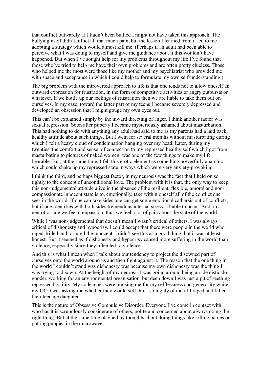that conflict outwardly. If I hadn't been bullied I might not have taken this approach. The bullying itself didn't inflict all that much pain, but the lesson I learned from it led to me adopting a strategy which would almost kill me. (Perhaps if an adult had been able to perceive what I was doing to myself and give me guidance about it this wouldn't have happened. But when I've sought help for my problems throughout my life I've found that those who've tried to help me have their own problems and are often pretty clueless. Those who helped me the most were those like my mother and my psychiatrist who provided me with space and acceptance in which I could help to formulate my own self-understanding.)

The big problem with the introverted approach to life is that one tends not to allow oneself an outward expression for frustration, in the form of competitive activities or angry outbursts or whatever. If we bottle up our feelings of frustration then we are liable to take them out on ourselves. In my case, toward the latter part of my teens I became severely depressed and developed an obsession that I might gouge my own eyes out.

This can't be explained simply by the inward directing of anger. I think another factor was sexual repression. Soon after puberty I became mysteriously ashamed about masturbation. This had nothing to do with anything any adult had said to me as my parents had a laid back, healthy attitude about such things. But I went for several months without masturbating during which I felt a heavy cloud of condemnation hanging over my head. Later, during my twenties, the comfort and sense of connection to my repressed healthy self which I got from masturbating to pictures of naked women, was one of the few things to make my life bearable. But, at the same time, I felt this erotic element as something powerfully anarchic which could shake up my repressed state in ways which were very anxiety-provoking.

I think the third, and perhaps biggest factor, in my neurosis was the fact that I held on so tightly to the concept of unconditional love. The problem with it is that, the only way to keep this non-judgemental attitude alive in the absence of the resilient, flexible, amoral and noncompassionate innocent state is to, emotionally, take within oneself all of the conflict one sees in the world. If one can take sides one can get some emotional catharsis out of conflicts, but if one identifies with both sides tremendous internal stress is liable to occur. And, in a neurotic state we feel compassion, thus we feel a lot of pain about the state of the world.

While I was non-judgemental that doesn't mean I wasn't critical of others. I was always critical of dishonesty and hypocrisy. I could accept that there were people in the world who raped, killed and tortured the innocent. I didn't see this as a good thing, but it was at least honest. But it seemed as if dishonesty and hypocrisy caused more suffering in the world than violence, especially since they often led to violence.

And this is what I mean when I talk about our tendency to project the disowned part of ourselves onto the world around us and then fight against it. The reason that the one thing in the world I couldn't stand was dishonesty was because my own dishonesty was the thing I was trying to disown. At the height of my neurosis I was going around being an idealistic dogooder, working for an environmental organisation, but deep down I was just a pit of seething repressed hostility. My colleagues were praising me for my selflessness and generosity while my OCD was asking me whether they would still think so highly of me of I raped and killed their teenage daughter.

This is the nature of Obsessive Compulsive Disorder. Everyone I've come in contact with who has it is scrupulously considerate of others, polite and concerned about always doing the right thing. But at the same time plagued by thoughts about doing things like killing babies or putting puppies in the microwave.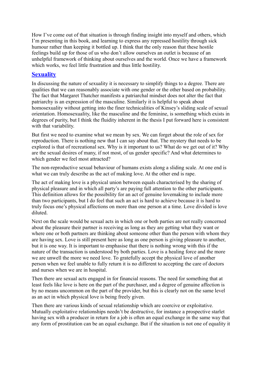How I've come out of that situation is through finding insight into myself and others, which I'm presenting in this book, and learning to express any repressed hostility through sick humour rather than keeping it bottled up. I think that the only reason that these hostile feelings build up for those of us who don't allow ourselves an outlet is because of an unhelpful framework of thinking about ourselves and the world. Once we have a framework which works, we feel little frustration and thus little hostility.

## <span id="page-18-0"></span>**[Sexuality](#page-2-0)**

In discussing the nature of sexuality it is necessary to simplify things to a degree. There are qualities that we can reasonably associate with one gender or the other based on probability. The fact that Margaret Thatcher manifests a patriarchal mindset does not alter the fact that patriarchy is an expression of the masculine. Similarly it is helpful to speak about homosexuality without getting into the finer technicalities of Kinsey's sliding scale of sexual orientation. Homosexuality, like the masculine and the feminine, is something which exists in degrees of purity, but I think the fluidity inherent in the thesis I put forward here is consistent with that variability.

But first we need to examine what we mean by sex. We can forget about the role of sex for reproduction. There is nothing new that I can say about that. The mystery that needs to be explored is that of recreational sex. Why is it important to us? What do we get out of it? Why are the sexual desires of many, if not most, of us gender specific? And what determines to which gender we feel most attracted?

The non-reproductive sexual behaviour of humans exists along a sliding scale. At one end is what we can truly describe as the act of making love. At the other end is rape.

The act of making love is a physical union between equals characterised by the sharing of physical pleasure and in which all party's are paying full attention to the other participants. This definition allows for the possibility for an act of genuine lovemaking to include more than two participants, but I do feel that such an act is hard to achieve because it is hard to truly focus one's physical affections on more than one person at a time. Love divided is love diluted.

Next on the scale would be sexual acts in which one or both parties are not really concerned about the pleasure their partner is receiving as long as they are getting what they want or where one or both partners are thinking about someone other than the person with whom they are having sex. Love is still present here as long as one person is giving pleasure to another, but it is one way. It is important to emphasise that there is nothing wrong with this if the nature of the transaction is understood by both parties. Love is a healing force and the more we are unwell the more we need love. To gratefully accept the physical love of another person when we feel unable to fully return it is no different to accepting the care of doctors and nurses when we are in hospital.

Then there are sexual acts engaged in for financial reasons. The need for something that at least feels like love is here on the part of the purchaser, and a degree of genuine affection is by no means uncommon on the part of the provider, but this is clearly not on the same level as an act in which physical love is being freely given.

Then there are various kinds of sexual relationship which are coercive or exploitative. Mutually exploitative relationships needn't be destructive, for instance a prospective starlet having sex with a producer in return for a job is often an equal exchange in the same way that any form of prostitution can be an equal exchange. But if the situation is not one of equality it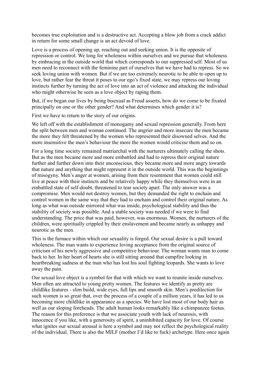becomes true exploitation and is a destructive act. Accepting a blow job from a crack addict in return for some small change is an act devoid of love.

Love is a process of opening up, reaching out and seeking union. It is the opposite of repression or control. We long for wholeness within ourselves and we pursue that wholeness by embracing in the outside world that which corresponds to our suppressed self. Most of us men need to reconnect with the feminine part of ourselves that we have had to repress. So we seek loving union with women. But if we are too extremely neurotic to be able to open up to love, but rather fear the threat it poses to our ego's fixed state, we may repress our loving instincts further by turning the act of love into an act of violence and attacking the individual who might otherwise be seen as a love object by raping them.

But, if we began our lives by being bisexual as Freud asserts, how do we come to be fixated principally on one or the other gender? And what determines which gender it is?

First we have to return to the story of our origins.

We left off with the establishment of monogamy and sexual repression generally. From here the split between men and woman continued. The angrier and more insecure the men became the more they felt threatened by the women who represented their disowned selves. And the more insensitive the men's behaviour the more the women would criticise them and so on.

For a long time society remained matriarchal with the nurturers ultimately calling the shots. But as the men became more and more embattled and had to repress their original nature further and further down into their unconscious, they became more and more angry towards that nature and anything that might represent it in the outside world. This was the beginnings of misogyny. Men's anger at women, arising from their resentment that women could still live at peace with their instincts and be relatively happy while they themselves were in an embattled state of self-doubt, threatened to tear society apart. The only answer was a compromise. Men would not destroy women, but they demanded the right to enchain and control women in the same way that they had to enchain and control their original nature. As long as what was outside mirrored what was inside, psychological stability and thus the stability of society was possible. And a stable society was needed if we were to find understanding. The price that was paid, however, was enormous. Women, the nurturers of the children, were spiritually crippled by their enslavement and became nearly as unhappy and neurotic as the men.

This is the furnace within which our sexuality is forged. Our sexual desire is a pull toward wholeness. The man wants to experience loving acceptance from the original source of criticism of his newly aggressive and competitive behaviour. The woman wants man to come back to her. In her heart of hearts she is still sitting around that campfire looking in heartbreaking sadness at the man who has lost his soul fighting leopards. She wants to love away the pain.

Our sexual love object is a symbol for that with which we want to reunite inside ourselves. Men often are attracted to young pretty women. The features we identify as pretty are childlike features - slim build, wide eyes, full lips and smooth skin. Men's predilection for such women is so great that, over the process of a couple of a million years, it has led to us becoming more childlike in appearance as a species. We have lost most of our body hair as well as our sloping foreheads. The adult human looks remarkably like a chimpanzee foetus. The reason for this preference is that we associate youth with lack of neurosis, with innocence if you like, with a generosity of spirit, a uninhibited capacity for love. Of course what ignites our sexual arousal is here a symbol and may not reflect the psychological reality of the individual. There is also the MILF (mother I'd like to fuck) archetype. Here once again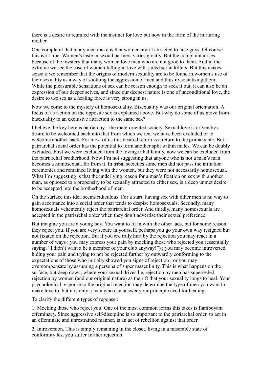there is a desire to reunited with the instinct for love but now in the form of the nurturing mother.

One complaint that many men make is that women aren't attracted to nice guys. Of course this isn't true. Women's taste in sexual partners varies greatly. But the complaint arises because of the mystery that many women love men who are not good to them. And in the extreme we see the case of women falling in love with jailed serial killers. But this makes sense if we remember that the origins of modern sexuality are to be found in women's use of their sexuality as a way of soothing the aggression of men and thus re-socialising them. While the pleasurable sensations of sex can be reason enough to seek it out, it can also be an expression of our deeper selves, and since our deepest nature is one of unconditional love, the desire to use sex as a healing force is very strong in us.

Now we come to the mystery of homosexuality. Bisexuality was our original orientation. A focus of attraction on the opposite sex is explained above. But why do some of us move from bisexuality to an exclusive attraction to the same sex?

I believe the key here is patriarchy - the male-oriented society. Sexual love is driven by a desire to be welcomed back into that from which we feel we have been excluded or to welcome another back. For most of us this desired return is a return to the primal state. But a patriarchal social order has the potential to form another split within males. We can be doubly excluded. First we were excluded from the loving tribal family, now we can be excluded from the patriarchal brotherhood. Now I'm not suggesting that anyone who is not a man's man becomes a homosexual, far from it. In tribal societies some men did not pass the initiation ceremonies and remained living with the women, but they were not necessarily homosexual. What I'm suggesting is that the underlying reason for a man's fixation on sex with another man, as opposed to a propensity to be sexually attracted to either sex, is a deep unmet desire to be accepted into the brotherhood of men.

On the surface this idea seems ridiculous. For a start, having sex with other men is no way to gain acceptance into a social order that tends to despise homosexuals. Secondly, many homosexuals vehemently reject the patriarchal order. And thirdly, many homosexuals are accepted in the patriarchal order when they don't advertise their sexual preference.

But imagine you are a young boy. You want to fit in with the other lads, but for some reason they reject you. If you are very secure in yourself, perhaps you go your own way resigned but not fixated on the rejection. But if you are truly hurt by the rejection you may react in a number of ways : you may express your pain by mocking those who rejected you (essentially saying, "I didn't want a be a member of your club anyway!") ; you may become introverted, hiding your pain and trying to not be rejected further by outwardly conforming to the expectations of those who initially showed you signs of rejection ; or you may overcompensate by assuming a persona of super masculinity. This is what happens on the surface, but deep down, where your sexual drives lie, rejection by men has superseded rejection by women (and our original nature) as the rift that your sexuality longs to heal. Your psychological response to the original rejection may determine the type of men you want to make love to, but it is only a man who can answer your principle need for healing.

To clarify the different types of reponse :

1. Mocking those who reject you. One of the most common forms this takes is flamboyant effeminacy. Since aggressive self-discipline is so important to the patriarchal order, to act in an effeminate and unrestrained manner, is an act of rebellion against that order.

2. Introversion. This is simply remaining in the closet, living in a miserable state of conformity lest you suffer further rejection.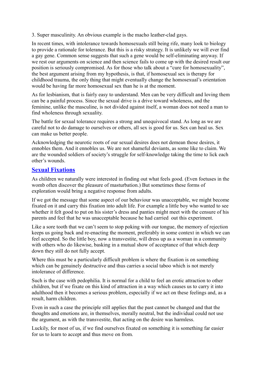3. Super masculinity. An obvious example is the macho leather-clad gays.

In recent times, with intolerance towards homosexuals still being rife, many look to biology to provide a rationale for tolerance. But this is a risky strategy. It is unlikely we will ever find a gay gene. Common sense suggests that such a gene would be self-eliminating anyway. If we rest our arguments on science and then science fails to come up with the desired result our position is seriously compromised. As for those who talk about a "cure for homosexuality", the best argument arising from my hypothesis, is that, if homosexual sex is therapy for childhood trauma, the only thing that might eventually change the homosexual's orientation would be having far more homosexual sex than he is at the moment.

As for lesbianism, that is fairly easy to understand. Men can be very difficult and loving them can be a painful process. Since the sexual drive is a drive toward wholeness, and the feminine, unlike the masculine, is not divided against itself, a woman does not need a man to find wholeness through sexuality.

The battle for sexual tolerance requires a strong and unequivocal stand. As long as we are careful not to do damage to ourselves or others, all sex is good for us. Sex can heal us. Sex can make us better people.

Acknowledging the neurotic roots of our sexual desires does not demean those desires, it ennobles them. And it ennobles us. We are not shameful deviants, as some like to claim. We are the wounded soldiers of society's struggle for self-knowledge taking the time to lick each other's wounds.

#### <span id="page-21-0"></span>**[Sexual Fixations](#page-2-0)**

As children we naturally were interested in finding out what feels good. (Even foetuses in the womb often discover the pleasure of masturbation.) But sometimes these forms of exploration would bring a negative response from adults.

If we got the message that some aspect of our behaviour was unacceptable, we might become fixated on it and carry this fixation into adult life. For example a little boy who wanted to see whether it felt good to put on his sister's dress and panties might meet with the censure of his parents and feel that he was unacceptable because he had carried out this experiment.

Like a sore tooth that we can't seem to stop poking with our tongue, the memory of rejection keeps us going back and re-enacting the moment, preferably in some context in which we can feel accepted. So the little boy, now a transvestite, will dress up as a woman in a community with others who do likewise, basking in a mutual show of acceptance of that which deep down they still do not fully accept.

Where this must be a particularly difficult problem is where the fixation is on something which can be genuinely destructive and thus carries a social taboo which is not merely intolerance of difference.

Such is the case with pedophilia. It is normal for a child to feel an erotic attraction to other children, but if we fixate on this kind of attraction in a way which causes us to carry it into adulthood then it becomes a serious problem, especially if we act on these feelings and, as a result, harm children.

Even in such a case the principle still applies that the past cannot be changed and that the thoughts and emotions are, in themselves, morally neutral, but the individual could not use the argument, as with the transvestite, that acting on the desire was harmless.

Luckily, for most of us, if we find ourselves fixated on something it is something far easier for us to learn to accept and thus move on from.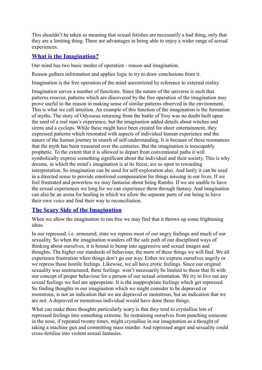This shouldn't be taken as meaning that sexual fetishes are necessarily a bad thing, only that they are a limiting thing. There are advantages in being able to enjoy a wider range of sexual experiences.

## <span id="page-22-1"></span>**[What is the Imagination?](#page-2-0)**

Our mind has two basic modes of operation - reason and imagination.

Reason gathers information and applies logic to try to draw conclusions from it.

Imagination is the free operation of the mind unrestricted by reference to external reality.

Imagination serves a number of functions. Since the nature of the universe is such that patterns reoccur, patterns which are discovered by the free operation of the imagination may prove useful to the reason in making sense of similar patterns observed in the environment. This is what we call intuition. An example of this function of the imagination is the formation of myths. The story of Odysseus returning from the battle of Troy was no doubt built upon the seed of a real man's experience, but the imagination added details about witches and sirens and a cyclops. While these might have been created for sheer entertainment, they expressed patterns which resonated with aspects of individual human experience and the nature of the human journey in search of self-understanding. It is because of these resonances that the myth has been treasured over the centuries. But the imagination is inescapably prophetic. To the extent that it is allowed to depart from conventional paths it will symbolically express something significant about the individual and their society. This is why dreams, in which the mind's imagination is at its freest, are so open to rewarding interpretation. So imagination can be used for self-exploration also. And lastly it can be used in a directed sense to provide emotional compensation for things missing in our lives. If we feel frustrated and powerless we may fantasise about being Rambo. If we are unable to have the sexual experiences we long for we can experience them through fantasy. And imagination can also be an arena for healing in which we allow the separate parts of our being to have their own voice and find their way to reconciliation.

## <span id="page-22-0"></span>**[The Scary Side of the Imagination](#page-2-0)**

When we allow the imagination to run free we may find that it throws up some frightening ideas.

In our repressed, i.e. armoured, state we repress most of our angry feelings and much of our sexuality. So when the imagination wanders off the safe path of our disciplined ways of thinking about ourselves, it is bound to bump into aggressive and sexual images and thoughts. The higher our standards of behaviour, the more of these things we will find. We all experience frustration when things don't go our way. Either we express ourselves angrily or we repress those hostile feelings. Likewise, we all have erotic feelings. Since our original sexuality was unstructured, these feelings won't necessarily be limited to those that fit with our concept of proper behaviour for a person of our sexual orientation. We try to live out any sexual feelings we feel are appropriate. It is the inappropriate feelings which get repressed. So finding thoughts in our imagination which we might consider to be depraved or monstrous, is not an indication that we are depraved or monstrous, but an indication that we are not. A depraved or monstrous individual would have done those things.

What can make these thoughts particularly scary is that they tend to crystallise lots of repressed feelings into something extreme. So restraining ourselves from punching someone in the nose, if repeated twenty times, might crystallise in our imagination as a thought of taking a machine gun and committing mass murder. And repressed anger and sexuality could cross-fertilise into violent sexual fantasies.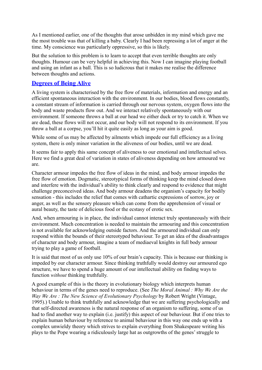As I mentioned earlier, one of the thoughts that arose unbidden in my mind which gave me the most trouble was that of killing a baby. Clearly I had been repressing a lot of anger at the time. My conscience was particularly oppressive, so this is likely.

But the solution to this problem is to learn to accept that even terrible thoughts are only thoughts. Humour can be very helpful in achieving this. Now I can imagine playing football and using an infant as a ball. This is so ludicrous that it makes me realise the difference between thoughts and actions.

## <span id="page-23-0"></span>**[Degrees of Being Alive](#page-2-0)**

A living system is characterised by the free flow of materials, information and energy and an efficient spontaneous interaction with the environment. In our bodies, blood flows constantly, a constant stream of information is carried through our nervous system, oxygen flows into the body and waste products flow out. And we interact relatively spontaneously with our environment. If someone throws a ball at our head we either duck or try to catch it. When we are dead, these flows will not occur, and our body will not respond to its environment. If you throw a ball at a corpse, you'll hit it quite easily as long as your aim is good.

While some of us may be affected by ailments which impede our full efficiency as a living system, there is only minor variation in the aliveness of our bodies, until we are dead.

It seems fair to apply this same concept of aliveness to our emotional and intellectual selves. Here we find a great deal of variation in states of aliveness depending on how armoured we are.

Character armour impedes the free flow of ideas in the mind, and body armour impedes the free flow of emotion. Dogmatic, stereotypical forms of thinking keep the mind closed down and interfere with the individual's ability to think clearly and respond to evidence that might challenge preconceived ideas. And body armour deadens the organism's capacity for bodily sensation - this includes the relief that comes with cathartic expressions of sorrow, joy or anger, as well as the sensory pleasure which can come from the apprehension of visual or aural beauty, the taste of delicious food or the ecstasy of erotic sex.

And, when armouring is in place, the individual cannot interact truly spontaneously with their environment. Much concentration is needed to maintain the armouring and this concentration is not available for acknowledging outside factors. And the armoured individual can only respond within the bounds of their stereotyped behaviour. To get an idea of the disadvantages of character and body armour, imagine a team of mediaeval knights in full body armour trying to play a game of football.

It is said that most of us only use 10% of our brain's capacity. This is because our thinking is impeded by our character armour. Since thinking truthfully would destroy our armoured ego structure, we have to spend a huge amount of our intellectual ability on finding ways to function *without* thinking truthfully.

A good example of this is the theory in evolutionary biology which interprets human behaviour in terms of the genes need to reproduce. (See *The Moral Animal : Why We Are the Way We Are : The New Science of Evolutionary Psychology* by Robert Wright (Vintage, 1995).) Unable to think truthfully and acknowledge that we are suffering psychologically and that self-directed awareness is the natural response of an organism to suffering, some of us had to find another way to explain (i.e. justify) this aspect of our behaviour. But if one tries to explain human behaviour by reference to animal behaviour in this way one ends up with a complex unwieldy theory which strives to explain everything from Shakespeare writing his plays to the Pope wearing a ridiculously large hat as outgrowths of the genes' struggle to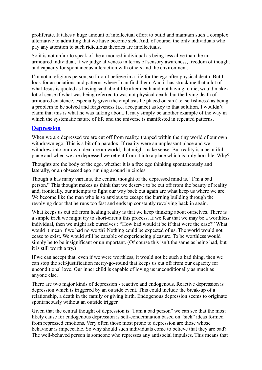proliferate. It takes a huge amount of intellectual effort to build and maintain such a complex alternative to admitting that we have become sick. And, of course, the only individuals who pay any attention to such ridiculous theories are intellectuals.

So it is not unfair to speak of the armoured individual as being less alive than the unarmoured individual, if we judge aliveness in terms of sensory awareness, freedom of thought and capacity for spontaneous interaction with others and the environment.

I'm not a religious person, so I don't believe in a life for the ego after physical death. But I look for associations and patterns where I can find them. And it has struck me that a lot of what Jesus is quoted as having said about life after death and not having to die, would make a lot of sense if what was being referred to was not physical death, but the living death of armoured existence, especially given the emphasis he placed on sin (i.e. selfishness) as being a problem to be solved and forgiveness (i.e. acceptance) as key to that solution. I wouldn't claim that this is what he was talking about. It may simply be another example of the way in which the systematic nature of life and the universe is manifested in repeated patterns.

## <span id="page-24-0"></span>**[Depression](#page-2-0)**

When we are depressed we are cut off from reality, trapped within the tiny world of our own withdrawn ego. This is a bit of a paradox. If reality were an unpleasant place and we withdrew into our own ideal dream world, that might make sense. But reality is a beautiful place and when we are depressed we retreat from it into a place which is truly horrible. Why?

Thoughts are the body of the ego, whether it is a free ego thinking spontaneously and laterally, or an obsessed ego running around in circles.

Though it has many variants, the central thought of the depressed mind is, "I'm a bad person." This thought makes us think that we deserve to be cut off from the beauty of reality and, ironically, our attempts to fight our way back out again are what keep us where we are. We become like the man who is so anxious to escape the burning building through the revolving door that he runs too fast and ends up constantly revolving back in again.

What keeps us cut off from healing reality is that we keep thinking about ourselves. There is a simple trick we might try to short-circuit this process. If we fear that we may be a worthless individual, then we might ask ourselves : "How bad would it be if that were the case?" What would it mean if we had no worth? Nothing could be expected of us. The world would not cease to exist. We would still be capable of experiencing pleasure. To be worthless would simply be to be insignificant or unimportant. (Of course this isn't the same as being bad, but it is still worth a try.)

If we can accept that, even if we were worthless, it would not be such a bad thing, then we can stop the self-justification merry-go-round that keeps us cut off from our capacity for unconditional love. Our inner child is capable of loving us unconditionally as much as anyone else.

There are two major kinds of depression - reactive and endogenous. Reactive depression is depression which is triggered by an outside event. This could include the break-up of a relationship, a death in the family or giving birth. Endogenous depression seems to originate spontaneously without an outside trigger.

Given that the central thought of depression is "I am a bad person" we can see that the most likely cause for endogenous depression is self-condemnation based on "sick" ideas formed from repressed emotions. Very often those most prone to depression are those whose behaviour is impeccable. So why should such individuals come to believe that they are bad? The well-behaved person is someone who represses any antisocial impulses. This means that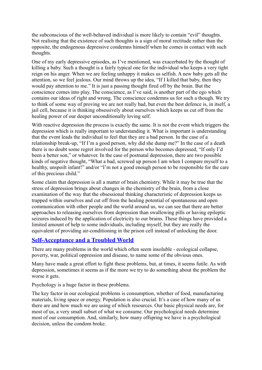the subconscious of the well-behaved individual is more likely to contain "evil" thoughts. Not realising that the existence of such thoughts is a sign of moral rectitude rather than the opposite, the endogenous depressive condemns himself when he comes in contact with such thoughts.

One of my early depressive episodes, as I've mentioned, was exacerbated by the thought of killing a baby. Such a thought is a fairly typical one for the individual who keeps a very tight reign on his anger. When we are feeling unhappy it makes us selfish. A new baby gets all the attention, so we feel jealous. Our mind throws up the idea, "If I killed that baby, then they would pay attention to me." It is just a passing thought fired off by the brain. But the conscience comes into play. The conscience, as I've said, is another part of the ego which contains our ideas of right and wrong. The conscience condemns us for such a though. We try to think of some way of proving we are not really bad, but even the best defence is, in itself, a jail cell, because it is thinking obsessively about ourselves which keeps us cut off from the healing power of our deeper unconditionally loving self.

With reactive depression the process is exactly the same. It is not the event which triggers the depression which is really important to understanding it. What is important is understanding that the event leads the individual to feel that they are a bad person. In the case of a relationship break-up, "If I'm a good person, why did she dump me?" In the case of a death there is no doubt some regret involved for the person who becomes depressed, "If only I'd been a better son," or whatever. In the case of postnatal depression, there are two possible kinds of negative thought, "What a bad, screwed up person I am when I compare myself to a healthy, unspoilt infant!" and/or "I'm not a good enough person to be responsible for the care of this precious child."

Some claim that depression is all a matter of brain chemistry. While it may be true that the stress of depression brings about changes in the chemistry of the brain, from a close examination of the way that the obsessional thinking characteristic of depression keeps us trapped within ourselves and cut off from the healing potential of spontaneous and open communication with other people and the world around us, we can see that there are better approaches to releasing ourselves from depression than swallowing pills or having epileptic seizures induced by the application of electricity to our brains. These things have provided a limited amount of help to some individuals, including myself, but they are really the equivalent of providing air-conditioning in the prison cell instead of unlocking the door.

# <span id="page-25-0"></span>**[Self-Acceptance and a Troubled World](#page-2-0)**

There are many problems in the world which often seem insoluble - ecological collapse, poverty, war, political oppression and disease, to name some of the obvious ones.

Many have made a great effort to fight these problems, but, at times, it seems futile. As with depression, sometimes it seems as if the more we try to do something about the problem the worse it gets.

Psychology is a huge factor in these problems.

The key factor in our ecological problems is consumption, whether of food, manufacturing materials, living space or energy. Population is also crucial. It's a case of how many of us there are and how much we are using of which resources. Our basic physical needs are, for most of us, a very small subset of what we consume. Our psychological needs determine most of our consumption. And, similarly, how many offspring we have is a psychological decision, unless the condom broke.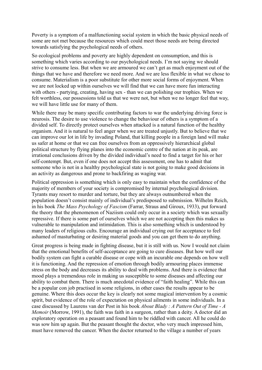Poverty is a symptom of a malfunctioning social system in which the basic physical needs of some are not met because the resources which could meet those needs are being directed towards satisfying the psychological needs of others.

So ecological problems and poverty are highly dependent on consumption, and this is something which varies according to our psychological needs. I'm not saying we should strive to consume less. But when we are armoured we can't get as much enjoyment out of the things that we have and therefore we need more. And we are less flexible in what we chose to consume. Materialism is a poor substitute for other more social forms of enjoyment. When we are not locked up within ourselves we will find that we can have more fun interacting with others - partying, creating, having sex - than we can polishing our trophies. When we felt worthless, our possessions told us that we were not, but when we no longer feel that way, we will have little use for many of them.

While there may be many specific contributing factors to war the underlying driving force is neurosis. The desire to use violence to change the behaviour of others is a symptom of a divided self. To directly protect ourselves when attacked is a natural function of the healthy organism. And it is natural to feel anger when we are treated unjustly. But to believe that we can improve our lot in life by invading Poland, that killing people in a foreign land will make us safer at home or that we can free ourselves from an oppressively hierarchical global political structure by flying planes into the economic centre of the nation at its peak, are irrational conclusions driven by the divided individual's need to find a target for his or her self-contempt. But, even if one does not accept this assessment, one has to admit that someone who is not in a healthy psychological state is not going to make good decisions in an activity as dangerous and prone to backfiring as waging war.

Political oppression is something which is only easy to maintain when the confidence of the majority of members of your society is compromised by internal psychological division. Tyrants may resort to murder and torture, but they are always outnumbered when the population doesn't consist mainly of individual's predisposed to submission. Wilhelm Reich, in his book *The Mass Psychology of Fascism* (Farrar, Straus and Giroux, 1933), put forward the theory that the phenomenon of Naziism could only occur in a society which was sexually repressive. If there is some part of ourselves which we are not accepting then this makes us vulnerable to manipulation and intimidation. This is also something which is understood by many leaders of religious cults. Encourage an individual crying out for acceptance to feel ashamed of masturbating or desiring material goods and you can get them to do anything.

Great progress is being made in fighting disease, but it is still with us. Now I would not claim that the emotional benefits of self-acceptance are going to cure diseases. But how well our bodily system can fight a curable disease or cope with an incurable one depends on how well it is functioning. And the repression of emotion through bodily armouring places immense stress on the body and decreases its ability to deal with problems. And there is evidence that mood plays a tremendous role in making us susceptible to some diseases and affecting our ability to combat them. There is much anecdotal evidence of "faith healing". While this can be a popular con job practised in some religions, in other cases the results appear to be genuine. Where this does occur the key is clearly not some magical intervention by a cosmic spirit, but evidence of the role of expectation on physical ailments in some individuals. In a case discussed by Laurens van der Post in his book *About Blady : A Pattern Out of Time - A Memoir* (Morrow, 1991), the faith was faith in a surgeon, rather than a deity. A doctor did an exploratory operation on a peasant and found him to be riddled with cancer. All he could do was sow him up again. But the peasant thought the doctor, who very much impressed him, must have removed the cancer. When the doctor returned to the village a number of years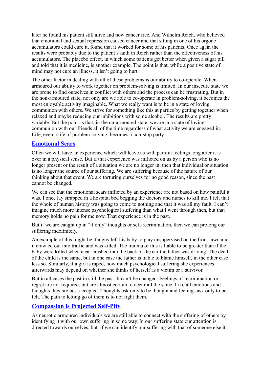later he found his patient still alive and now cancer free. And Wilhelm Reich, who believed that emotional and sexual repression caused cancer and that sitting in one of his orgone accumulators could cure it, found that it worked for some of his patients. Once again the results were probably due to the patient's faith in Reich rather than the effectiveness of his accumulators. The placebo effect, in which some patients get better when given a sugar pill and told that it is medicine, is another example. The point is that, while a positive state of mind may not cure an illness, it isn't going to hurt.

The other factor in dealing with all of these problems is our ability to co-operate. When armoured our ability to work together on problem-solving is limited. In our insecure state we are prone to find ourselves in conflict with others and the process can be frustrating. But in the non-armoured state, not only are we able to co-operate in problem-solving, it becomes the most enjoyable activity imaginable. What we really want is to be in a state of loving communion with others. We strive for something like this at parties by getting together when relaxed and maybe reducing our inhibitions with some alcohol. The results are pretty variable. But the point is that, in the un-armoured state, we are in a state of loving communion with our friends all of the time regardless of what activity we are engaged in. Life, even a life of problem-solving, becomes a non-stop party.

# <span id="page-27-1"></span>**[Emotional Scars](#page-2-0)**

Often we will have an experience which will leave us with painful feelings long after it is over in a physical sense. But if that experience was inflicted on us by a person who is no longer present or the result of a situation we are no longer in, then that individual or situation is no longer the source of our suffering. We are suffering because of the nature of our thinking about that event. We are torturing ourselves for no good reason, since the past cannot be changed.

We can see that the emotional scars inflicted by an experience are not based on how painful it was. I once lay strapped in a hospital bed begging the doctors and nurses to kill me. I felt that the whole of human history was going to come to nothing and that it was all my fault. I can't imagine much more intense psychological suffering than what I went through then, but that memory holds no pain for me now. That experience is in the past.

But if we are caught up in "if only" thoughts or self-recrimination, then we can prolong our suffering indefinitely.

An example of this might be if a guy left his baby to play unsupervised on the front lawn and it crawled out into traffic and was killed. The trauma of this is liable to be greater than if the baby were killed when a car crashed into the back of the car the father was driving. The death of the child is the same, but in one case the father is liable to blame himself, in the other case less so. Similarly, if a girl is raped, how much psychological suffering she experiences afterwards may depend on whether she thinks of herself as a victim or a survivor.

But in all cases the past in still the past. It can't be changed. Feelings of recrimination or regret are not required, but are almost certain to occur all the same. Like all emotions and thoughts they are best accepted. Thoughts ask only to be thought and feelings ask only to be felt. The path to letting go of them is to not fight them.

# <span id="page-27-0"></span>**[Compassion is Projected Self-Pity](#page-2-0)**

As neurotic armoured individuals we are still able to connect with the suffering of others by identifying it with our own suffering in some way. In our suffering state our attention is directed towards ourselves, but, if we can identify our suffering with that of someone else it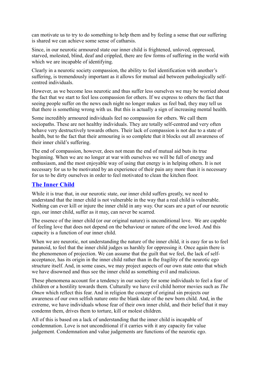can motivate us to try to do something to help them and by feeling a sense that our suffering is shared we can achieve some sense of catharsis.

Since, in our neurotic armoured state our inner child is frightened, unloved, oppressed, starved, molested, blind, deaf and crippled, there are few forms of suffering in the world with which we are incapable of identifying.

Clearly in a neurotic society compassion, the ability to feel identification with another's suffering, is tremendously important as it allows for mutual aid between pathologically selfcentred individuals.

However, as we become less neurotic and thus suffer less ourselves we may be worried about the fact that we start to feel less compassion for others. If we express to others the fact that seeing people suffer on the news each night no longer makes us feel bad, they may tell us that there is something wrong with us. But this is actually a sign of increasing mental health.

Some incredibly armoured individuals feel no compassion for others. We call them sociopaths. These are not healthy individuals. They are totally self-centred and very often behave very destructively towards others. Their lack of compassion is not due to a state of health, but to the fact that their armouring is so complete that it blocks out all awareness of their inner child's suffering.

The end of compassion, however, does not mean the end of mutual aid buts its true beginning. When we are no longer at war with ourselves we will be full of energy and enthusiasm, and the most enjoyable way of using that energy is in helping others. It is not necessary for us to be motivated by an experience of their pain any more than it is necessary for us to be dirty ourselves in order to feel motivated to clean the kitchen floor.

#### <span id="page-28-0"></span>**[The Inner Child](#page-2-0)**

While it is true that, in our neurotic state, our inner child suffers greatly, we need to understand that the inner child is not vulnerable in the way that a real child is vulnerable. Nothing can ever kill or injure the inner child in any way. Our scars are a part of our neurotic ego, our inner child, suffer as it may, can never be scarred.

The essence of the inner child (or our original nature) is unconditional love. We are capable of feeling love that does not depend on the behaviour or nature of the one loved. And this capacity is a function of our inner child.

When we are neurotic, not understanding the nature of the inner child, it is easy for us to feel paranoid, to feel that the inner child judges us harshly for oppressing it. Once again there is the phenomenon of projection. We can assume that the guilt that we feel, the lack of selfacceptance, has its origin in the inner child rather than in the fragility of the neurotic ego structure itself. And, in some cases, we may project aspects of our own state onto that which we have disowned and thus see the inner child as something evil and malicious.

These phenomena account for a tendency in our society for some individuals to feel a fear of children or a hostility towards them. Culturally we have evil child horror movies such as *The Omen* which reflect this fear. And in religion the concept of original sin projects our awareness of our own selfish nature onto the blank slate of the new born child. And, in the extreme, we have individuals whose fear of their own inner child, and their belief that it may condemn them, drives them to torture, kill or molest children.

All of this is based on a lack of understanding that the inner child is incapable of condemnation. Love is not unconditional if it carries with it any capacity for value judgement. Condemnation and value judgements are functions of the neurotic ego.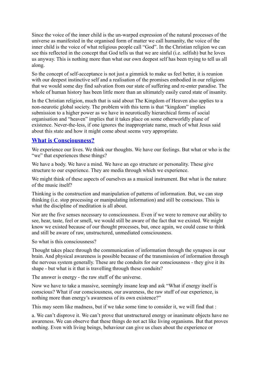Since the voice of the inner child is the un-warped expression of the natural processes of the universe as manifested in the organised form of matter we call humanity, the voice of the inner child is the voice of what religious people call "God". In the Christian religion we can see this reflected in the concept that God tells us that we are sinful (i.e. selfish) but he loves us anyway. This is nothing more than what our own deepest self has been trying to tell us all along.

So the concept of self-acceptance is not just a gimmick to make us feel better, it is reunion with our deepest instinctive self and a realisation of the promises embodied in our religions that we would some day find salvation from our state of suffering and re-enter paradise. The whole of human history has been little more than an ultimately easily cured state of insanity.

In the Christian religion, much that is said about The Kingdom of Heaven also applies to a non-neurotic global society. The problem with this term is that "kingdom" implies submission to a higher power as we have in neurotically hierarchical forms of social organisation and "heaven" implies that it takes place on some otherworldly plane of existence. Never-the-less, if one ignores the inappropriate name, much of what Jesus said about this state and how it might come about seems very appropriate.

## <span id="page-29-0"></span>**[What is Consciousness?](#page-2-0)**

We experience our lives. We think our thoughts. We have our feelings. But what or who is the "we" that experiences these things?

We have a body. We have a mind. We have an ego structure or personality. These give structure to our experience. They are media through which we experience.

We might think of these aspects of ourselves as a musical instrument. But what is the nature of the music itself?

Thinking is the construction and manipulation of patterns of information. But, we can stop thinking (i.e. stop processing or manipulating information) and still be conscious. This is what the discipline of meditation is all about.

Nor are the five senses necessary to consciousness. Even if we were to remove our ability to see, hear, taste, feel or smell, we would still be aware of the fact that we existed. We might know we existed because of our thought processes, but, once again, we could cease to think and still be aware of raw, unstructured, unmediated consciousness.

So what is this consciousness?

Thought takes place through the communication of information through the synapses in our brain. And physical awareness is possible because of the transmission of information through the nervous system generally. These are the conduits for our consciousness - they give it its shape - but what is it that is travelling through these conduits?

The answer is energy - the raw stuff of the universe.

Now we have to take a massive, seemingly insane leap and ask "What if energy itself is conscious? What if our consciousness, our awareness, the raw stuff of our experience, is nothing more than energy's awareness of its own existence?"

This may seem like madness, but if we take some time to consider it, we will find that :

a. We can't disprove it. We can't prove that unstructured energy or inanimate objects have no awareness. We can observe that these things do not act like living organisms. But that proves nothing. Even with living beings, behaviour can give us clues about the experience or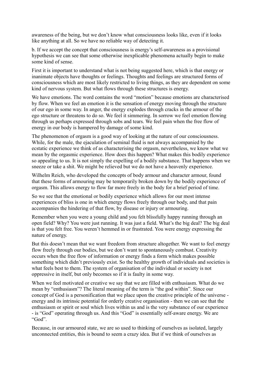awareness of the being, but we don't know what consciousness looks like, even if it looks like anything at all. So we have no reliable way of detecting it.

b. If we accept the concept that consciousness is energy's self-awareness as a provisional hypothesis we can see that some otherwise inexplicable phenomena actually begin to make some kind of sense.

First it is important to understand what is not being suggested here, which is that energy or inanimate objects have thoughts or feelings. Thoughts and feelings are structured forms of consciousness which are most likely restricted to living things, as they are dependent on some kind of nervous system. But what flows through these structures is energy.

We have emotions. The word contains the word "motion" because emotions are characterised by flow. When we feel an emotion it is the sensation of energy moving through the structure of our ego in some way. In anger, the energy explodes through cracks in the armour of the ego structure or threatens to do so. We feel it simmering. In sorrow we feel emotion flowing through us perhaps expressed through sobs and tears. We feel pain when the free flow of energy in our body is hampered by damage of some kind.

The phenomenon of orgasm is a good way of looking at the nature of our consciousness. While, for the male, the ejaculation of seminal fluid is not always accompanied by the ecstatic experience we think of as characterising the orgasm, nevertheless, we know what we mean by the orgasmic experience. How does this happen? What makes this bodily experience so appealing to us. It is not simply the expelling of a bodily substance. That happens when we sneeze or take a shit. We might be relieved but we do not have a heavenly experience.

Wilhelm Reich, who developed the concepts of body armour and character armour, found that these forms of armouring may be temporarily broken down by the bodily experience of orgasm. This allows energy to flow far more freely in the body for a brief period of time.

So we see that the emotional or bodily experience which allows for our most intense experiences of bliss is one in which energy flows freely through our body, and that pain accompanies the hindering of that flow, by disease or injury or armouring.

Remember when you were a young child and you felt blissfully happy running through an open field? Why? You were just running. It was just a field. What's the big deal? The big deal is that you felt free. You weren't hemmed in or frustrated. You were energy expressing the nature of energy.

But this doesn't mean that we want freedom from structure altogether. We want to feel energy flow freely through our bodies, but we don't want to spontaneously combust. Creativity occurs when the free flow of information or energy finds a form which makes possible something which didn't previously exist. So the healthy growth of individuals and societies is what feels best to them. The system of organisation of the individual or society is not oppressive in itself, but only becomes so if it is faulty in some way.

When we feel motivated or creative we say that we are filled with enthusiasm. What do we mean by "enthusiasm"? The literal meaning of the term is "the god within". Since our concept of God is a personification that we place upon the creative principle of the universe energy and its intrinsic potential for orderly creative organisation - then we can see that the enthusiasm or spirit or soul which lives within us and is the very substance of our experience - is "God" operating through us. And this "God" is essentially self-aware energy. We are "God".

Because, in our armoured state, we are so used to thinking of ourselves as isolated, largely unconnected entities, this is bound to seem a crazy idea. But if we think of ourselves as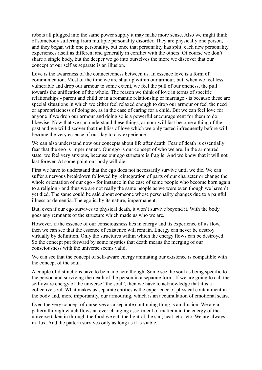robots all plugged into the same power supply it may make more sense. Also we might think of somebody suffering from multiple personality disorder. They are physically one person, and they began with one personality, but once that personality has split, each new personality experiences itself as different and generally in conflict with the others. Of course we don't share a single body, but the deeper we go into ourselves the more we discover that our concept of our self as separate is an illusion.

Love is the awareness of the connectedness between us. In essence love is a form of communication. Most of the time we are shut up within our armour, but, when we feel less vulnerable and drop our armour to some extent, we feel the pull of our oneness, the pull towards the unification of the whole. The reason we think of love in terms of specific relationships - parent and child or in a romantic relationship or marriage - is because these are special situations in which we either feel relaxed enough to drop our armour or feel the need or appropriateness of doing so, as in the case of caring for a child. But we can feel love for anyone if we drop our armour and doing so is a powerful encouragement for them to do likewise. Now that we can understand these things, armour will fast become a thing of the past and we will discover that the bliss of love which we only tasted infrequently before will become the very essence of our day to day experience.

We can also understand now our concepts about life after death. Fear of death is essentially fear that the ego is impermanent. Our ego is our concept of who we are. In the armoured state, we feel very anxious, because our ego structure is fragile. And we know that it will not last forever. At some point our body will die.

First we have to understand that the ego does not necessarily survive until we die. We can suffer a nervous breakdown followed by reintegration of parts of our character or change the whole orientation of our ego - for instance in the case of some people who become born again to a religion - and thus we are not really the same people as we were even though we haven't yet died. The same could be said about someone whose personality changes due to a painful illness or dementia. The ego is, by its nature, impermanent.

But, even if our ego survives to physical death, it won't survive beyond it. With the body goes any remnants of the structure which made us who we are.

However, if the essence of our consciousness lies in energy and its experience of its flow, then we can see that the essence of existence will remain. Energy can never be destroy virtually by definition. Only the structures within which the energy flows can be destroyed. So the concept put forward by some mystics that death means the merging of our consciousness with the universe seems valid.

We can see that the concept of self-aware energy animating our existence is compatible with the concept of the soul.

A couple of distinctions have to be made here though. Some see the soul as being specific to the person and surviving the death of the person in a separate form. If we are going to call the self-aware energy of the universe "the soul", then we have to acknowledge that it is a collective soul. What makes us separate entities is the experience of physical containment in the body and, more importantly, our armouring, which is an accumulation of emotional scars.

Even the very concept of ourselves as a separate continuing thing is an illusion. We are a pattern through which flows an ever changing assortment of matter and the energy of the universe taken in through the food we eat, the light of the sun, heat, etc., etc. We are always in flux. And the pattern survives only as long as it is viable.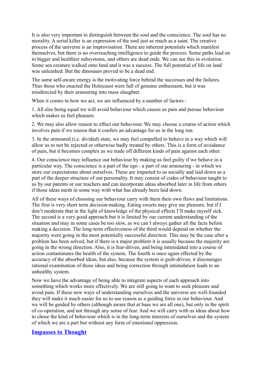It is also very important to distinguish between the soul and the conscience. The soul has no morality. A serial killer is an expression of the soul just as much as a saint. The creative process of the universe is an improvisation. There are inherent potentials which manifest themselves, but there is no overreaching intelligence to guide the process. Some paths lead on to bigger and healthier subsystems, and others are dead ends. We can see this in evolution. Some sea creature walked onto land and it was a success. The full potential of life on land was unleashed. But the dinosaurs proved to be a dead end.

The same self-aware energy is the motivating force behind the successes and the failures. Thus those who enacted the Holocaust were full of genuine enthusiasm, but it was misdirected by their armouring into mass slaughter.

When it comes to how we act, we are influenced by a number of factors :

1. All else being equal we will avoid behaviour which causes us pain and pursue behaviour which makes us feel pleasure.

2. We may also allow reason to effect our behaviour. We may choose a course of action which involves pain if we reason that it confers an advantage for us in the long run.

3. In the armoured (i.e. divided) state, we may feel compelled to behave in a way which will allow us to not be rejected or otherwise badly treated by others. This is a form of avoidance of pain, but it becomes complex as we trade off different kinds of pain against each other.

4. Our conscience may influence our behaviour by making us feel guilty if we behave in a particular way. The conscience is a part of the ego - a part of our armouring - in which we store our expectations about ourselves. These are imparted to us socially and laid down as a part of the deeper structure of our personality. It may consist of codes of behaviour taught to us by our parents or our teachers and can incorporate ideas absorbed later in life from others if those ideas mesh in some way with what has already been laid down.

All of these ways of choosing our behaviour carry with them their own flaws and limitations. The first is very short term decision-making. Eating sweets may give me pleasure, but if I don't moderate that in the light of knowledge of the physical effects I'll make myself sick. The second is a very good approach but it is limited by our current understanding of the situation and may in some cases be too slow, as we can't always gather all the facts before making a decision. The long-term effectiveness of the third would depend on whether the majority were going in the most potentially successful direction. This may be the case after a problem has been solved, but if there is a major problem it is usually because the majority are going in the wrong direction. Also, it is fear-driven, and being intimidated into a course of action contaminates the health of the system. The fourth is once again effected by the accuracy of the absorbed ideas, but also, because the system is guilt-driven, it discourages rational examination of those ideas and being correction through intimidation leads to an unhealthy system.

Now we have the advantage of being able to integrate aspects of each approach into something which works more effectively. We are still going to want to seek pleasure and avoid pain. If these new ways of understanding ourselves and the universe are well-founded they will make it much easier for us to use reason as a guiding force in our behaviour. And we will be guided by others (although aware that at base we are all one), but only in the spirit of co-operation, and not through any sense of fear. And we will carry with us ideas about how to chose the kind of behaviour which is in the long-term interests of ourselves and the system of which we are a part but without any form of emotional oppression.

## <span id="page-32-0"></span>**[Impasses to Thought](#page-2-0)**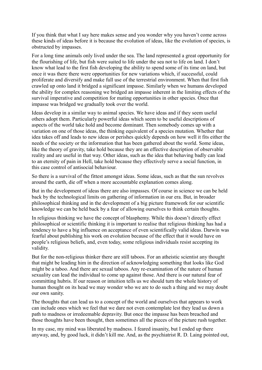If you think that what I say here makes sense and you wonder why you haven't come across these kinds of ideas before it is because the evolution of ideas, like the evolution of species, is obstructed by impasses.

For a long time animals only lived under the sea. The land represented a great opportunity for the flourishing of life, but fish were suited to life under the sea not to life on land. I don't know what lead to the first fish developing the ability to spend some of its time on land, but once it was there there were opportunities for new variations which, if successful, could proliferate and diversify and make full use of the terrestrial environment. When that first fish crawled up onto land it bridged a significant impasse. Similarly when we humans developed the ability for complex reasoning we bridged an impasse inherent in the limiting effects of the survival imperative and competition for mating opportunities in other species. Once that impasse was bridged we gradually took over the world.

Ideas develop in a similar way to animal species. We have ideas and if they seem useful others adopt them. Particularly powerful ideas which seem to be useful descriptions of aspects of the world take hold and become dominant. Then somebody comes up with a variation on one of those ideas, the thinking equivalent of a species mutation. Whether that idea takes off and leads to new ideas or perishes quickly depends on how well it fits either the needs of the society or the information that has been gathered about the world. Some ideas, like the theory of gravity, take hold because they are an effective description of observable reality and are useful in that way. Other ideas, such as the idea that behaving badly can lead to an eternity of pain in Hell, take hold because they effectively serve a social function, in this case control of antisocial behaviour.

So there is a survival of the fittest amongst ideas. Some ideas, such as that the sun revolves around the earth, die off when a more accountable explanation comes along.

But in the development of ideas there are also impasses. Of course in science we can be held back by the technological limits on gathering of information in our era. But, in broader philosophical thinking and in the development of a big picture framework for our scientific knowledge we can be held back by a fear of allowing ourselves to think certain thoughts.

In religious thinking we have the concept of blasphemy. While this doesn't directly effect philosophical or scientific thinking it is important to realise that religious thinking has had a tendency to have a big influence on acceptance of even scientifically valid ideas. Darwin was fearful about publishing his work on evolution because of the effect that it would have on people's religious beliefs, and, even today, some religious individuals resist accepting its validity.

But for the non-religious thinker there are still taboos. For an atheistic scientist any thought that might be leading him in the direction of acknowledging something that looks like God might be a taboo. And there are sexual taboos. Any re-examination of the nature of human sexuality can lead the individual to come up against those. And there is our natural fear of committing hubris. If our reason or intuition tells us we should turn the whole history of human thought on its head we may wonder who we are to do such a thing and we may doubt our own sanity.

The thoughts that can lead us to a concept of the world and ourselves that appears to work can include ones which we feel that we dare not even contemplate lest they lead us down a path to madness or irredeemable depravity. But once the impasse has been breached and those thoughts have been thought, then sometimes all the pieces of the picture rush together.

In my case, my mind was liberated by madness. I feared insanity, but I ended up there anyway, and, by good luck, it didn't kill me. And, as the psychiatrist R. D. Laing pointed out,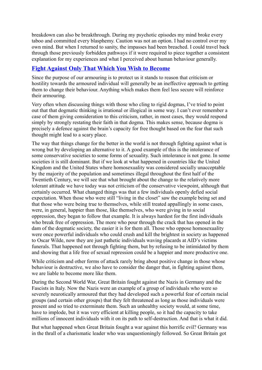breakdown can also be breakthrough. During my psychotic episodes my mind broke every taboo and committed every blasphemy. Caution was not an option. I had no control over my own mind. But when I returned to sanity, the impasses had been breached. I could travel back through those previously forbidden pathways if it were required to piece together a consistent explanation for my experiences and what I perceived about human behaviour generally.

# <span id="page-34-0"></span>**[Fight Against Only That Which You Wish to Become](#page-2-0)**

Since the purpose of our armouring is to protect us it stands to reason that criticism or hostility towards the armoured individual will generally be an ineffective approach to getting them to change their behaviour. Anything which makes them feel less secure will reinforce their armouring.

Very often when discussing things with those who cling to rigid dogmas, I've tried to point out that that dogmatic thinking is irrational or illogical in some way. I can't ever remember a case of them giving consideration to this criticism, rather, in most cases, they would respond simply by strongly restating their faith in that dogma. This makes sense, because dogma is precisely a defence against the brain's capacity for free thought based on the fear that such thought might lead to a scary place.

The way that things change for the better in the world is not through fighting against what is wrong but by developing an alternative to it. A good example of this is the intolerance of some conservative societies to some forms of sexuality. Such intolerance is not gone. In some societies it is still dominant. But if we look at what happened in countries like the United Kingdom and the United States where homosexuality was considered socially unacceptable by the majority of the population and sometimes illegal throughout the first half of the Twentieth Century, we will see that what brought about the change to the relatively more tolerant attitude we have today was not criticism of the conservative viewpoint, although that certainly occurred. What changed things was that a few individuals openly defied social expectation. When those who were still "living in the closet" saw the example being set and that those who were being true to themselves, while still treated appallingly in some cases, were, in general, happier than those, like themselves, who were giving in to social oppression, they began to follow that example. It is always hardest for the first individuals who break free of oppression. The more who pour through the crack that has opened in the dam of the dogmatic society, the easier it is for them all. Those who oppose homosexuality were once powerful individuals who could crush and kill the brightest in society as happened to Oscar Wilde, now they are just pathetic individuals waving placards at AID's victims funerals. That happened not through fighting them, but by refusing to be intimidated by them and showing that a life free of sexual repression could be a happier and more productive one.

While criticism and other forms of attack rarely bring about positive change in those whose behaviour is destructive, we also have to consider the danger that, in fighting against them, we are liable to become more like them.

During the Second World War, Great Britain fought against the Nazis in Germany and the Fascists in Italy. Now the Nazis were an example of a group of individuals who were so severely neurotically armoured that they had developed such a powerful fear of certain racial groups (and certain other groups) that they felt threatened as long as those individuals were present and so tried to exterminate them. Such an unhealthy society would, at some time, have to implode, but it was very efficient at killing people, so it had the capacity to take millions of innocent individuals with it on its path to self-destruction. And that is what it did.

But what happened when Great Britain fought a war against this horrific evil? Germany was in the thrall of a charismatic leader who was unquestioningly followed. So Great Britain got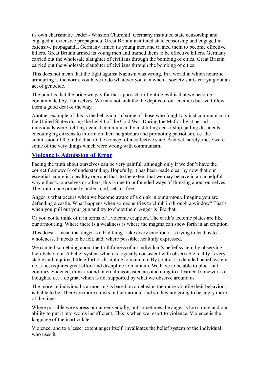its own charismatic leader - Winston Churchill. Germany instituted state censorship and engaged in extensive propaganda. Great Britain instituted state censorship and engaged in extensive propaganda. Germany armed its young men and trained them to become effective killers. Great Britain armed its young men and trained them to be effective killers. Germany carried out the wholesale slaughter of civilians through the bombing of cities. Great Britain carried out the wholesale slaughter of civilians through the bombing of cities.

This does not mean that the fight against Naziism was wrong. In a world in which neurotic armouring is the norm, you have to do whatever you can when a society starts carrying out an act of genocide.

The point is that the price we pay for that approach to fighting evil is that we become contaminated by it ourselves. We may not sink the the depths of our enemies but we follow them a good deal of the way.

Another example of this is the behaviour of some of those who fought against communism in the United States during the height of the Cold War. During the McCarthyist period individuals were fighting against communism by instituting censorship, jailing dissidents, encouraging citizens to inform on their neighbours and promoting patriotism, i.e. the submission of the individual to the concept of a collective state. And yet, surely, these were some of the very things which were wrong with communism.

## <span id="page-35-0"></span>**[Violence is Admission of Error](#page-2-0)**

Facing the truth about ourselves can be very painful, although only if we don't have the correct framework of understanding. Hopefully, it has been made clear by now that our essential nature is a healthy one and that, to the extent that we may behave in an unhelpful way either to ourselves or others, this is due to unfounded ways of thinking about ourselves. The truth, once properly understood, sets us free.

Anger is what occurs when we become aware of a chink in our armour. Imagine you are defending a castle. What happens when someone tries to climb in through a window? That's when you pull out your gun and try to shoot them. Anger is like that.

Or you could think of it in terms of a volcanic eruption. The earth's tectonic plates are like our armouring. Where there is a weakness is where the magma can spew forth in an eruption.

This doesn't mean that anger is a bad thing. Like every emotion it is trying to lead us to wholeness. It needs to be felt, and, where possible, healthily expressed.

We can tell something about the truthfulness of an individual's belief system by observing their behaviour. A belief system which is logically consistent with observable reality is very stable and requires little effort or discipline to maintain. By contrast, a deluded belief system, i.e. a lie, requires great effort and discipline to maintain. We have to be able to block out contrary evidence, think around internal inconsistencies and cling to a learned framework of thoughts, i.e. a dogma, which is not supported by what we observe around us.

The more an individual's armouring is based on a delusion the more volatile their behaviour is liable to be. There are more chinks in their armour and so they are going to be angry more of the time.

Where possible we express our anger verbally, but sometimes the anger is too strong and our ability to put it into words insufficient. This is when we resort to violence. Violence is the language of the inarticulate.

Violence, and to a lesser extent anger itself, invalidates the belief system of the individual who uses it.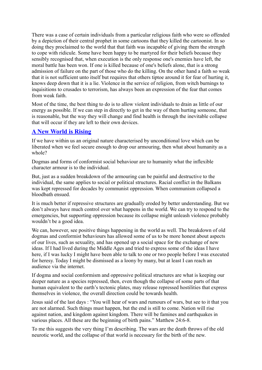There was a case of certain individuals from a particular religious faith who were so offended by a depiction of their central prophet in some cartoons that they killed the cartoonist. In so doing they proclaimed to the world that that faith was incapable of giving them the strength to cope with ridicule. Some have been happy to be martyred for their beliefs because they sensibly recognised that, when execution is the only response one's enemies have left, the moral battle has been won. If one is killed because of one's beliefs alone, that is a strong admission of failure on the part of those who do the killing. On the other hand a faith so weak that it is not sufficient unto itself but requires that others tiptoe around it for fear of hurting it, knows deep down that it is a lie. Violence in the service of religion, from witch burnings to inquisitions to crusades to terrorism, has always been an expression of the fear that comes from weak faith.

Most of the time, the best thing to do is to allow violent individuals to drain as little of our energy as possible. If we can step in directly to get in the way of them hurting someone, that is reasonable, but the way they will change and find health is through the inevitable collapse that will occur if they are left to their own devices.

# <span id="page-36-0"></span>**[A New World is Rising](#page-2-0)**

If we have within us an original nature characterised by unconditional love which can be liberated when we feel secure enough to drop our armouring, then what about humanity as a whole?

Dogmas and forms of conformist social behaviour are to humanity what the inflexible character armour is to the individual.

But, just as a sudden breakdown of the armouring can be painful and destructive to the individual, the same applies to social or political structures. Racial conflict in the Balkans was kept repressed for decades by communist oppression. When communism collapsed a bloodbath ensued.

It is much better if repressive structures are gradually eroded by better understanding. But we don't always have much control over what happens in the world. We can try to respond to the emergencies, but supporting oppression because its collapse might unleash violence probably wouldn't be a good idea.

We can, however, see positive things happening in the world as well. The breakdown of old dogmas and conformist behaviours has allowed some of us to be more honest about aspects of our lives, such as sexuality, and has opened up a social space for the exchange of new ideas. If I had lived during the Middle Ages and tried to express some of the ideas I have here, if I was lucky I might have been able to talk to one or two people before I was executed for heresy. Today I might be dismissed as a loony by many, but at least I can reach an audience via the internet.

If dogma and social conformism and oppressive political structures are what is keeping our deeper nature as a species repressed, then, even though the collapse of some parts of that human equivalent to the earth's tectonic plates, may release repressed hostilities that express themselves in violence, the overall direction could be towards health.

Jesus said of the last days : "You will hear of wars and rumours of wars, but see to it that you are not alarmed. Such things must happen, but the end is still to come. Nation will rise against nation, and kingdom against kingdom. There will be famines and earthquakes in various places. All these are the beginning of birth pains." Matthew 24:6-8.

To me this suggests the very thing I'm describing. The wars are the death throws of the old neurotic world, and the collapse of that world is necessary for the birth of the new.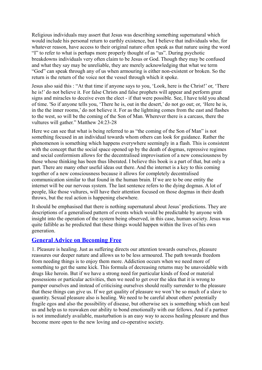Religious individuals may assert that Jesus was describing something supernatural which would include his personal return to earthly existence, but I believe that individuals who, for whatever reason, have access to their original nature often speak as that nature using the word "I" to refer to what is perhaps more properly thought of as "us". During psychotic breakdowns individuals very often claim to be Jesus or God. Though they may be confused and what they say may be unreliable, they are merely acknowledging that what we term "God" can speak through any of us when armouring is either non-existent or broken. So the return is the return of the voice not the vessel through which it spoke.

Jesus also said this : "At that time if anyone says to you, 'Look, here is the Christ!' or, 'There he is!' do not believe it. For false Christs and false prophets will appear and perform great signs and miracles to deceive even the elect - if that were possible. See, I have told you ahead of time. 'So if anyone tells you, 'There he is, out in the desert,' do not go out; or, 'Here he is, in the the inner rooms,' do not believe it. For as the lightning comes from the east and flashes to the west, so will be the coming of the Son of Man. Wherever there is a carcass, there the vultures will gather." Matthew 24:23-28

Here we can see that what is being referred to as "the coming of the Son of Man" is not something focused in an individual towards whom others can look for guidance. Rather the phenomenon is something which happens everywhere seemingly in a flash. This is consistent with the concept that the social space opened up by the death of dogmas, repressive regimes and social conformism allows for the decentralised improvisation of a new consciousness by those whose thinking has been thus liberated. I believe this book is a part of that, but only a part. There are many other useful ideas out there. And the internet is a key to this coming together of a new consciousness because it allows for completely decentralised communication similar to that found in the human brain. If we are to be one entity the internet will be our nervous system. The last sentence refers to the dying dogmas. A lot of people, like those vultures, will have their attention focused on those dogmas in their death throws, but the real action is happening elsewhere.

It should be emphasised that there is nothing supernatural about Jesus' predictions. They are descriptions of a generalised pattern of events which would be predictable by anyone with insight into the operation of the system being observed, in this case, human society. Jesus was quite fallible as he predicted that these things would happen within the lives of his own generation.

## <span id="page-37-0"></span>**[General Advice on Becoming Free](#page-2-0)**

1. Pleasure is healing. Just as suffering directs our attention towards ourselves, pleasure reassures our deeper nature and allows us to be less armoured. The path towards freedom from needing things is to enjoy them more. Addiction occurs when we need more of something to get the same kick. This formula of decreasing returns may be unavoidable with drugs like heroin. But if we have a strong need for particular kinds of food or material possessions or particular activities, then we need to get over the idea that it is wrong to pamper ourselves and instead of criticising ourselves should really surrender to the pleasure that these things can give us. If we get quality of pleasure we won't be so much of a slave to quantity. Sexual pleasure also is healing. We need to be careful about others' potentially fragile egos and also the possibility of disease, but otherwise sex is something which can heal us and help us to reawaken our ability to bond emotionally with our fellows. And if a partner is not immediately available, masturbation is an easy way to access healing pleasure and thus become more open to the new loving and co-operative society.